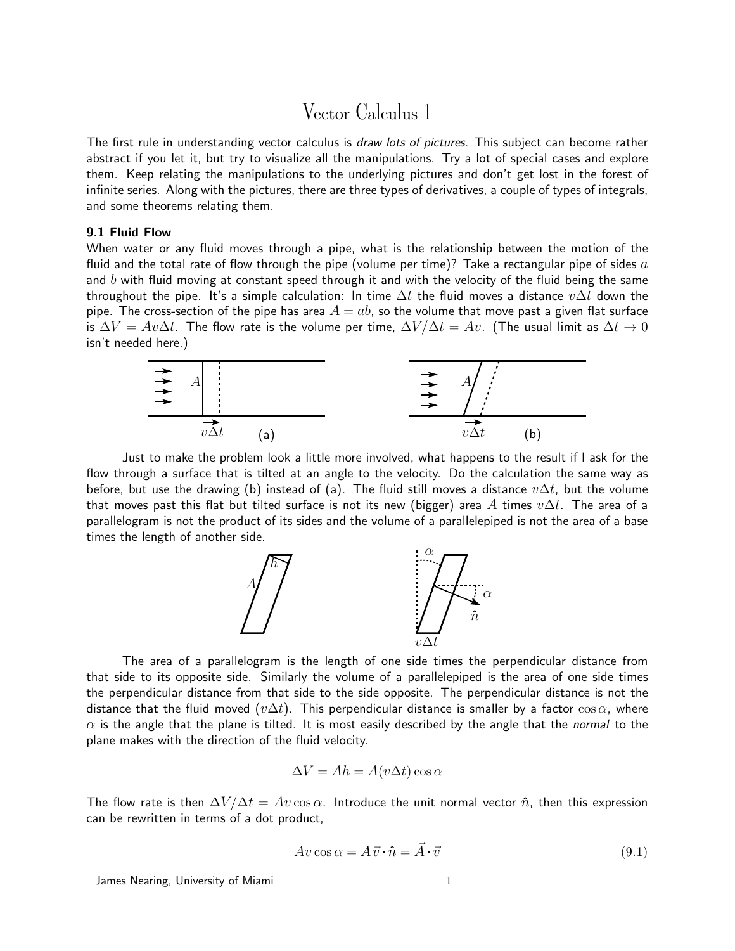# Vector Calculus 1

The first rule in understanding vector calculus is *draw lots of pictures*. This subject can become rather abstract if you let it, but try to visualize all the manipulations. Try a lot of special cases and explore them. Keep relating the manipulations to the underlying pictures and don't get lost in the forest of infinite series. Along with the pictures, there are three types of derivatives, a couple of types of integrals, and some theorems relating them.

## 9.1 Fluid Flow

When water or any fluid moves through a pipe, what is the relationship between the motion of the fluid and the total rate of flow through the pipe (volume per time)? Take a rectangular pipe of sides  $a$ and  $b$  with fluid moving at constant speed through it and with the velocity of the fluid being the same throughout the pipe. It's a simple calculation: In time  $\Delta t$  the fluid moves a distance  $v\Delta t$  down the pipe. The cross-section of the pipe has area  $A = ab$ , so the volume that move past a given flat surface is  $\Delta V = Av\Delta t$ . The flow rate is the volume per time,  $\Delta V/\Delta t = Av$ . (The usual limit as  $\Delta t \to 0$ isn't needed here.)



Just to make the problem look a little more involved, what happens to the result if I ask for the flow through a surface that is tilted at an angle to the velocity. Do the calculation the same way as before, but use the drawing (b) instead of (a). The fluid still moves a distance  $v\Delta t$ , but the volume that moves past this flat but tilted surface is not its new (bigger) area A times  $v\Delta t$ . The area of a parallelogram is not the product of its sides and the volume of a parallelepiped is not the area of a base times the length of another side.



The area of a parallelogram is the length of one side times the perpendicular distance from that side to its opposite side. Similarly the volume of a parallelepiped is the area of one side times the perpendicular distance from that side to the side opposite. The perpendicular distance is not the distance that the fluid moved ( $v\Delta t$ ). This perpendicular distance is smaller by a factor cos  $\alpha$ , where  $\alpha$  is the angle that the plane is tilted. It is most easily described by the angle that the *normal* to the plane makes with the direction of the fluid velocity.

$$
\Delta V = Ah = A(v\Delta t)\cos\alpha
$$

The flow rate is then  $\Delta V/\Delta t = Av \cos \alpha$ . Introduce the unit normal vector  $\hat{n}$ , then this expression can be rewritten in terms of a dot product,

<span id="page-0-0"></span>
$$
Av\cos\alpha = A\vec{v}\cdot\hat{n} = \vec{A}\cdot\vec{v} \tag{9.1}
$$

James Nearing, University of Miami 1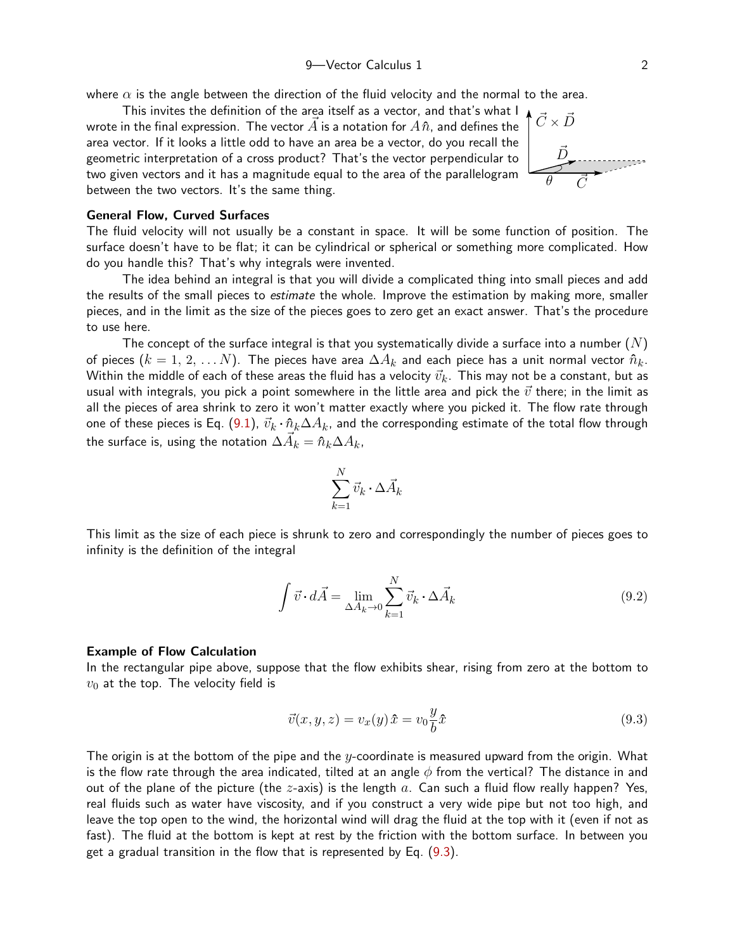where  $\alpha$  is the angle between the direction of the fluid velocity and the normal to the area.

This invites the definition of the area itself as a vector, and that's what I  $\bigwedge^{\bullet} \vec{C} \times \vec{D}$ <br>in the final expression. The vector  $\vec{A}$  is a notation for  $A \hat{n}$  and defines the  $\bigwedge^{\bullet} \vec{C} \times \vec{D}$ wrote in the final expression. The vector  $\vec{A}$  is a notation for  $A\hat{n}$ , and defines the area vector. If it looks a little odd to have an area be a vector, do you recall the geometric interpretation of a cross product? That's the vector perpendicular to two given vectors and it has a magnitude equal to the area of the parallelogram between the two vectors. It's the same thing.

General Flow, Curved Surfaces

The fluid velocity will not usually be a constant in space. It will be some function of position. The surface doesn't have to be flat; it can be cylindrical or spherical or something more complicated. How do you handle this? That's why integrals were invented.

The idea behind an integral is that you will divide a complicated thing into small pieces and add the results of the small pieces to *estimate* the whole. Improve the estimation by making more, smaller pieces, and in the limit as the size of the pieces goes to zero get an exact answer. That's the procedure to use here.

The concept of the surface integral is that you systematically divide a surface into a number  $(N)$ of pieces  $(k=1,\,2,\,\ldots N).$  The pieces have area  $\Delta A_k$  and each piece has a unit normal vector  $\hat{n}_k.$ Within the middle of each of these areas the fluid has a velocity  $\vec{v}_k.$  This may not be a constant, but as usual with integrals, you pick a point somewhere in the little area and pick the  $\vec{v}$  there; in the limit as all the pieces of area shrink to zero it won't matter exactly where you picked it. The flow rate through one of these pieces is Eq. ([9.1\)](#page-0-0),  $\vec{v}_k\cdot\hat{n}_k\Delta A_k$ , and the corresponding estimate of the total flow through the surface is, using the notation  $\Delta \vec{A}_k = \hat{n}_k \Delta A_k$ ,

$$
\sum_{k=1}^N \vec{v}_k \cdot \Delta \vec{A}_k
$$

This limit as the size of each piece is shrunk to zero and correspondingly the number of pieces goes to infinity is the definition of the integral

$$
\int \vec{v} \cdot d\vec{A} = \lim_{\Delta A_k \to 0} \sum_{k=1}^{N} \vec{v}_k \cdot \Delta \vec{A}_k
$$
\n(9.2)

#### Example of Flow Calculation

In the rectangular pipe above, suppose that the flow exhibits shear, rising from zero at the bottom to  $v_0$  at the top. The velocity field is

<span id="page-1-0"></span>
$$
\vec{v}(x, y, z) = v_x(y)\hat{x} = v_0 \frac{y}{b}\hat{x}
$$
\n(9.3)

The origin is at the bottom of the pipe and the  $y$ -coordinate is measured upward from the origin. What is the flow rate through the area indicated, tilted at an angle  $\phi$  from the vertical? The distance in and out of the plane of the picture (the  $z$ -axis) is the length  $a$ . Can such a fluid flow really happen? Yes, real fluids such as water have viscosity, and if you construct a very wide pipe but not too high, and leave the top open to the wind, the horizontal wind will drag the fluid at the top with it (even if not as fast). The fluid at the bottom is kept at rest by the friction with the bottom surface. In between you get a gradual transition in the flow that is represented by Eq. ([9.3\)](#page-1-0).

 $\vec{C}$ 

 $\vec{D}$ 

θ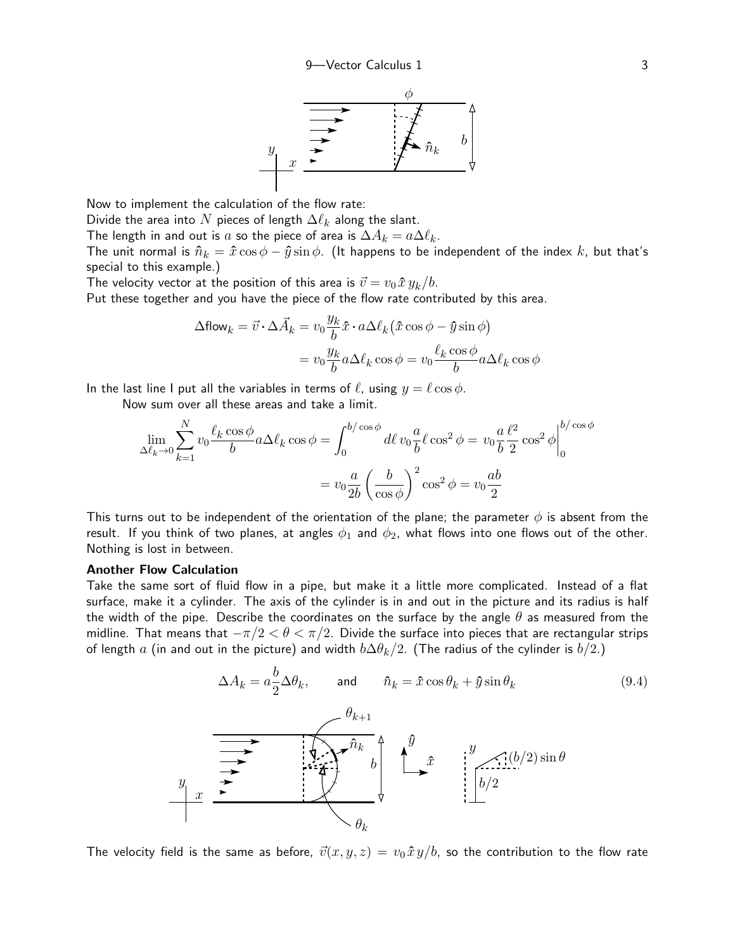

Now to implement the calculation of the flow rate:

Divide the area into N pieces of length  $\Delta \ell_k$  along the slant.

The length in and out is  $a$  so the piece of area is  $\Delta A_k = a \Delta \ell_k.$ 

The unit normal is  $\hat{n}_k = \hat{x} \cos \phi - \hat{y} \sin \phi$ . (It happens to be independent of the index k, but that's special to this example.)

The velocity vector at the position of this area is  $\vec{v} = v_0 \hat{x} y_k/b$ .

Put these together and you have the piece of the flow rate contributed by this area.

$$
\Delta \text{flow}_k = \vec{v} \cdot \Delta \vec{A}_k = v_0 \frac{y_k}{b} \hat{x} \cdot a \Delta \ell_k (\hat{x} \cos \phi - \hat{y} \sin \phi)
$$

$$
= v_0 \frac{y_k}{b} a \Delta \ell_k \cos \phi = v_0 \frac{\ell_k \cos \phi}{b} a \Delta \ell_k \cos \phi
$$

In the last line I put all the variables in terms of  $\ell$ , using  $y = \ell \cos \phi$ .

Now sum over all these areas and take a limit.

$$
\lim_{\Delta \ell_k \to 0} \sum_{k=1}^N v_0 \frac{\ell_k \cos \phi}{b} a \Delta \ell_k \cos \phi = \int_0^{b/\cos \phi} d\ell v_0 \frac{a}{b} \ell \cos^2 \phi = v_0 \frac{a}{b} \frac{\ell^2}{2} \cos^2 \phi \Big|_0^{b/\cos \phi}
$$

$$
= v_0 \frac{a}{2b} \left(\frac{b}{\cos \phi}\right)^2 \cos^2 \phi = v_0 \frac{ab}{2}
$$

This turns out to be independent of the orientation of the plane; the parameter  $\phi$  is absent from the result. If you think of two planes, at angles  $\phi_1$  and  $\phi_2$ , what flows into one flows out of the other. Nothing is lost in between.

#### Another Flow Calculation

Take the same sort of fluid flow in a pipe, but make it a little more complicated. Instead of a flat surface, make it a cylinder. The axis of the cylinder is in and out in the picture and its radius is half the width of the pipe. Describe the coordinates on the surface by the angle  $\theta$  as measured from the midline. That means that  $-\pi/2 < \theta < \pi/2$ . Divide the surface into pieces that are rectangular strips of length a (in and out in the picture) and width  $b\Delta\theta_k/2$ . (The radius of the cylinder is  $b/2$ .)

<span id="page-2-0"></span>
$$
\Delta A_k = a \frac{b}{2} \Delta \theta_k, \quad \text{and} \quad \hat{n}_k = \hat{x} \cos \theta_k + \hat{y} \sin \theta_k \tag{9.4}
$$
\n
$$
\overrightarrow{\theta_{k+1}}
$$
\n
$$
\overrightarrow{\theta_k}
$$
\n
$$
\overrightarrow{\theta_k}
$$
\n
$$
\overrightarrow{\theta_k}
$$
\n
$$
\theta_k
$$
\n
$$
\theta_k
$$
\n
$$
(9.4)
$$

The velocity field is the same as before,  $\vec{v}(x, y, z) = v_0 \hat{x} y/b$ , so the contribution to the flow rate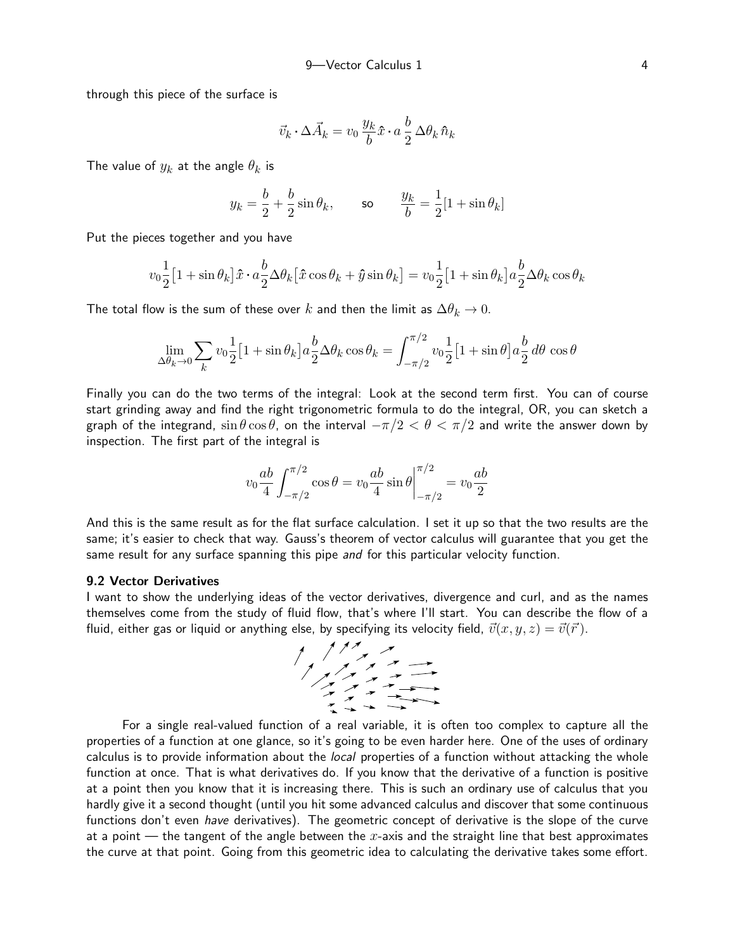through this piece of the surface is

$$
\vec{v}_k \cdot \Delta \vec{A}_k = v_0 \, \frac{y_k}{b} \hat{x} \cdot a \, \frac{b}{2} \, \Delta \theta_k \, \hat{n}_k
$$

The value of  $y_k$  at the angle  $\theta_k$  is

$$
y_k = \frac{b}{2} + \frac{b}{2}\sin\theta_k
$$
, so  $\frac{y_k}{b} = \frac{1}{2}[1 + \sin\theta_k]$ 

Put the pieces together and you have

$$
v_0 \frac{1}{2} \left[1 + \sin \theta_k\right] \hat{x} \cdot a \frac{b}{2} \Delta \theta_k \left[\hat{x} \cos \theta_k + \hat{y} \sin \theta_k\right] = v_0 \frac{1}{2} \left[1 + \sin \theta_k\right] a \frac{b}{2} \Delta \theta_k \cos \theta_k
$$

The total flow is the sum of these over k and then the limit as  $\Delta\theta_k \to 0$ .

$$
\lim_{\Delta \theta_k \to 0} \sum_k v_0 \frac{1}{2} \left[ 1 + \sin \theta_k \right] a \frac{b}{2} \Delta \theta_k \cos \theta_k = \int_{-\pi/2}^{\pi/2} v_0 \frac{1}{2} \left[ 1 + \sin \theta \right] a \frac{b}{2} d\theta \cos \theta
$$

Finally you can do the two terms of the integral: Look at the second term first. You can of course start grinding away and find the right trigonometric formula to do the integral, OR, you can sketch a graph of the integrand,  $\sin\theta\cos\theta$ , on the interval  $-\pi/2 < \theta < \pi/2$  and write the answer down by inspection. The first part of the integral is

$$
v_0 \frac{ab}{4} \int_{-\pi/2}^{\pi/2} \cos \theta = v_0 \frac{ab}{4} \sin \theta \Big|_{-\pi/2}^{\pi/2} = v_0 \frac{ab}{2}
$$

And this is the same result as for the flat surface calculation. I set it up so that the two results are the same; it's easier to check that way. Gauss's theorem of vector calculus will guarantee that you get the same result for any surface spanning this pipe and for this particular velocity function.

## 9.2 Vector Derivatives

I want to show the underlying ideas of the vector derivatives, divergence and curl, and as the names themselves come from the study of fluid flow, that's where I'll start. You can describe the flow of a fluid, either gas or liquid or anything else, by specifying its velocity field,  $\vec{v}(x, y, z) = \vec{v}(\vec{r})$ .



For a single real-valued function of a real variable, it is often too complex to capture all the properties of a function at one glance, so it's going to be even harder here. One of the uses of ordinary calculus is to provide information about the *local* properties of a function without attacking the whole function at once. That is what derivatives do. If you know that the derivative of a function is positive at a point then you know that it is increasing there. This is such an ordinary use of calculus that you hardly give it a second thought (until you hit some advanced calculus and discover that some continuous functions don't even *have* derivatives). The geometric concept of derivative is the slope of the curve at a point — the tangent of the angle between the x-axis and the straight line that best approximates the curve at that point. Going from this geometric idea to calculating the derivative takes some effort.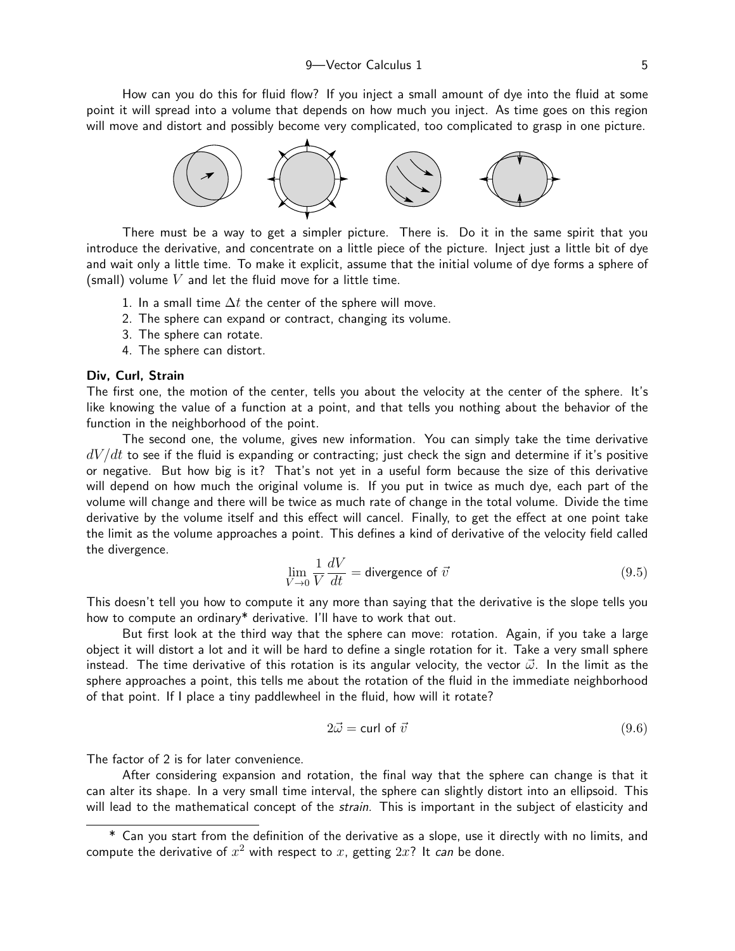How can you do this for fluid flow? If you inject a small amount of dye into the fluid at some point it will spread into a volume that depends on how much you inject. As time goes on this region will move and distort and possibly become very complicated, too complicated to grasp in one picture.



There must be a way to get a simpler picture. There is. Do it in the same spirit that you introduce the derivative, and concentrate on a little piece of the picture. Inject just a little bit of dye and wait only a little time. To make it explicit, assume that the initial volume of dye forms a sphere of (small) volume  $V$  and let the fluid move for a little time.

- 1. In a small time  $\Delta t$  the center of the sphere will move.
- 2. The sphere can expand or contract, changing its volume.
- 3. The sphere can rotate.
- 4. The sphere can distort.

## Div, Curl, Strain

The first one, the motion of the center, tells you about the velocity at the center of the sphere. It's like knowing the value of a function at a point, and that tells you nothing about the behavior of the function in the neighborhood of the point.

The second one, the volume, gives new information. You can simply take the time derivative  $dV/dt$  to see if the fluid is expanding or contracting; just check the sign and determine if it's positive or negative. But how big is it? That's not yet in a useful form because the size of this derivative will depend on how much the original volume is. If you put in twice as much dye, each part of the volume will change and there will be twice as much rate of change in the total volume. Divide the time derivative by the volume itself and this effect will cancel. Finally, to get the effect at one point take the limit as the volume approaches a point. This defines a kind of derivative of the velocity field called the divergence.

<span id="page-4-0"></span>
$$
\lim_{V \to 0} \frac{1}{V} \frac{dV}{dt} = \text{divergence of } \vec{v} \tag{9.5}
$$

This doesn't tell you how to compute it any more than saying that the derivative is the slope tells you how to compute an ordinary\* derivative. I'll have to work that out.

But first look at the third way that the sphere can move: rotation. Again, if you take a large object it will distort a lot and it will be hard to define a single rotation for it. Take a very small sphere instead. The time derivative of this rotation is its angular velocity, the vector  $\vec{\omega}$ . In the limit as the sphere approaches a point, this tells me about the rotation of the fluid in the immediate neighborhood of that point. If I place a tiny paddlewheel in the fluid, how will it rotate?

$$
2\vec{\omega} = \text{curl of } \vec{v} \tag{9.6}
$$

The factor of 2 is for later convenience.

After considering expansion and rotation, the final way that the sphere can change is that it can alter its shape. In a very small time interval, the sphere can slightly distort into an ellipsoid. This will lead to the mathematical concept of the *strain*. This is important in the subject of elasticity and

<sup>\*</sup> Can you start from the definition of the derivative as a slope, use it directly with no limits, and compute the derivative of  $x^2$  with respect to  $x$ , getting  $2x$ ? It *can* be done.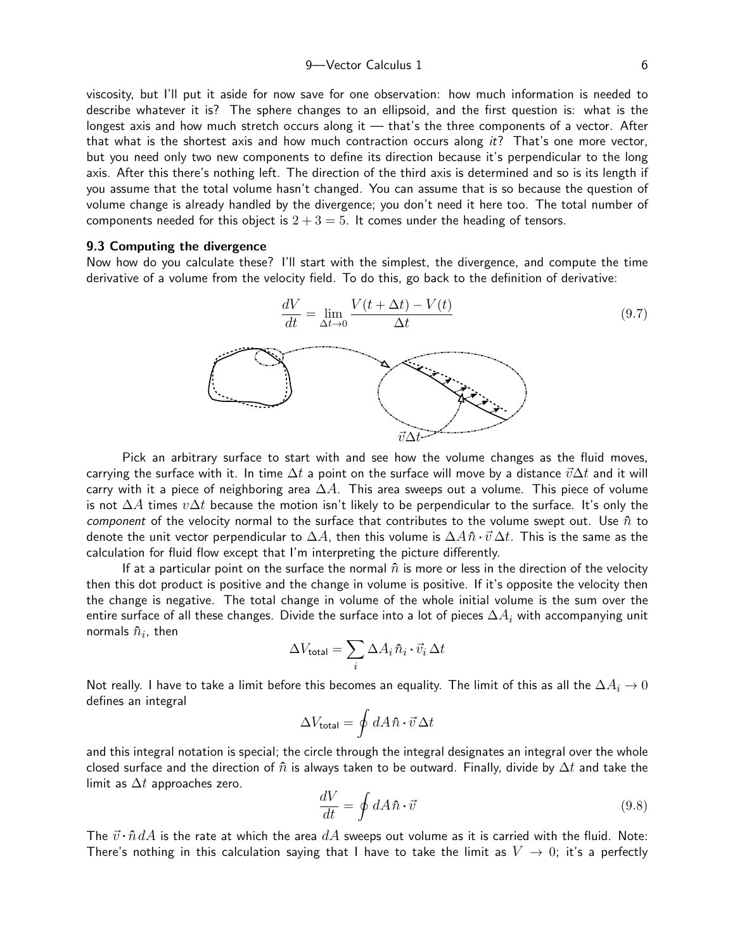9 Vector Calculus 1 6

viscosity, but I'll put it aside for now save for one observation: how much information is needed to describe whatever it is? The sphere changes to an ellipsoid, and the first question is: what is the longest axis and how much stretch occurs along it — that's the three components of a vector. After that what is the shortest axis and how much contraction occurs along  $it$ ? That's one more vector, but you need only two new components to define its direction because it's perpendicular to the long axis. After this there's nothing left. The direction of the third axis is determined and so is its length if you assume that the total volume hasn't changed. You can assume that is so because the question of volume change is already handled by the divergence; you don't need it here too. The total number of components needed for this object is  $2 + 3 = 5$ . It comes under the heading of tensors.

#### 9.3 Computing the divergence

Now how do you calculate these? I'll start with the simplest, the divergence, and compute the time derivative of a volume from the velocity field. To do this, go back to the definition of derivative:



Pick an arbitrary surface to start with and see how the volume changes as the fluid moves, carrying the surface with it. In time  $\Delta t$  a point on the surface will move by a distance  $\vec{v}\Delta t$  and it will carry with it a piece of neighboring area  $\Delta A$ . This area sweeps out a volume. This piece of volume is not  $\Delta A$  times  $v\Delta t$  because the motion isn't likely to be perpendicular to the surface. It's only the component of the velocity normal to the surface that contributes to the volume swept out. Use  $\hat{n}$  to denote the unit vector perpendicular to  $\Delta A$ , then this volume is  $\Delta A \hat{n} \cdot \vec{v} \Delta t$ . This is the same as the calculation for fluid flow except that I'm interpreting the picture differently.

If at a particular point on the surface the normal  $\hat{n}$  is more or less in the direction of the velocity then this dot product is positive and the change in volume is positive. If it's opposite the velocity then the change is negative. The total change in volume of the whole initial volume is the sum over the entire surface of all these changes. Divide the surface into a lot of pieces  $\Delta A_i$  with accompanying unit normals  $\hat{n}_i$ , then

$$
\Delta V_{\text{total}} = \sum_{i} \Delta A_{i} \hat{n}_{i} \cdot \vec{v}_{i} \, \Delta t
$$

Not really. I have to take a limit before this becomes an equality. The limit of this as all the  $\Delta A_i\rightarrow 0$ defines an integral

$$
\Delta V_{\rm total} = \oint dA \,\hat{n} \cdot \vec{v} \,\Delta t
$$

and this integral notation is special; the circle through the integral designates an integral over the whole closed surface and the direction of  $\hat{n}$  is always taken to be outward. Finally, divide by  $\Delta t$  and take the limit as  $\Delta t$  approaches zero.

$$
\frac{dV}{dt} = \oint dA \,\hat{n} \cdot \vec{v} \tag{9.8}
$$

The  $\vec{v} \cdot \hat{n} dA$  is the rate at which the area  $dA$  sweeps out volume as it is carried with the fluid. Note: There's nothing in this calculation saying that I have to take the limit as  $V \to 0$ ; it's a perfectly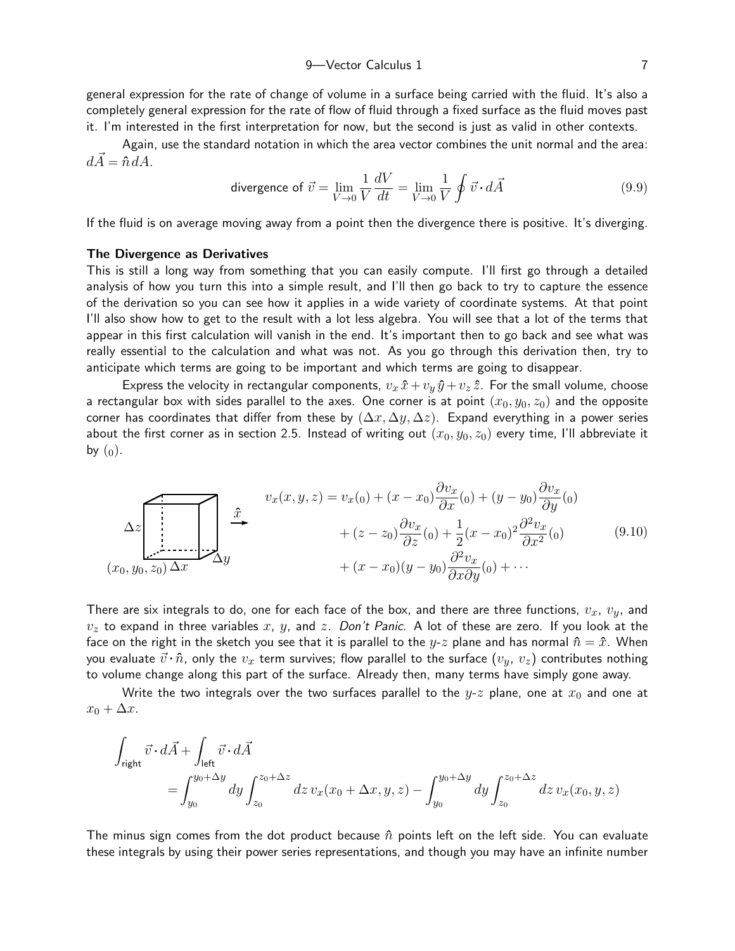general expression for the rate of change of volume in a surface being carried with the fluid. It's also a completely general expression for the rate of flow of fluid through a fixed surface as the fluid moves past it. I'm interested in the first interpretation for now, but the second is just as valid in other contexts.

Again, use the standard notation in which the area vector combines the unit normal and the area:  $d\vec{A} = \hat{n} dA$ .

<span id="page-6-0"></span>divergence of 
$$
\vec{v} = \lim_{V \to 0} \frac{1}{V} \frac{dV}{dt} = \lim_{V \to 0} \frac{1}{V} \oint \vec{v} \cdot d\vec{A}
$$
 (9.9)

If the fluid is on average moving away from a point then the divergence there is positive. It's diverging.

#### The Divergence as Derivatives

This is still a long way from something that you can easily compute. I'll first go through a detailed analysis of how you turn this into a simple result, and I'll then go back to try to capture the essence of the derivation so you can see how it applies in a wide variety of coordinate systems. At that point I'll also show how to get to the result with a lot less algebra. You will see that a lot of the terms that appear in this first calculation will vanish in the end. It's important then to go back and see what was really essential to the calculation and what was not. As you go through this derivation then, try to anticipate which terms are going to be important and which terms are going to disappear.

Express the velocity in rectangular components,  $v_x \hat{x} + v_y \hat{y} + v_z \hat{z}$ . For the small volume, choose a rectangular box with sides parallel to the axes. One corner is at point  $(x_0, y_0, z_0)$  and the opposite corner has coordinates that differ from these by  $(\Delta x, \Delta y, \Delta z)$ . Expand everything in a power series about the first corner as in section 2.5. Instead of writing out  $(x_0, y_0, z_0)$  every time, I'll abbreviate it by  $(0)$ .

<span id="page-6-1"></span>
$$
\Delta z \left[\begin{array}{c}\nx \\
\end{array}\right]\n\begin{array}{c}\nx \\
\end{array}\n\begin{array}{c}\nx \\
\end{array}\n\Delta y\n\end{array}\n\qquad\n\begin{array}{c}\n\begin{array}{c}\ny_x(x,y,z) = v_x(0) + (x - x_0)\frac{\partial v_x}{\partial x}(0) + (y - y_0)\frac{\partial v_x}{\partial y}(0) \\
\end{array}\n\end{array}\n\qquad\n\begin{array}{c}\n\Delta z \\
\begin{array}{c}\n\lambda \\
\end{array}\n\Delta y\n\end{array}\n\begin{array}{c}\n\Delta z \\
\end{array}\n\Delta z\n\begin{array}{c}\n\Delta z \\
\end{array}\n\Delta z\n\end{array}\n\qquad\n\begin{array}{c}\n\Delta z \\
\end{array}\n\Delta z\n\end{array}\n\qquad\n\begin{array}{c}\n\Delta z \\
\Delta y\n\end{array}\n\end{array}\n\qquad\n\begin{array}{c}\n\Delta z \\
\Delta z\n\end{array}\n\qquad\n\begin{array}{c}\n\Delta z \\
\end{array}\n\Delta z\n\end{array}\n\qquad\n\begin{array}{c}\n\Delta z \\
\Delta z\n\end{array}\n\qquad\n\begin{array}{c}\n\Delta z \\
\Delta z\n\end{array}\n\qquad\n\begin{array}{c}\n\Delta z \\
\Delta z\n\end{array}\n\end{array}\n\qquad\n\begin{array}{c}\n\Delta z \\
\Delta z\n\end{array}\n\qquad\n\begin{array}{c}\n\Delta z \\
\Delta z\n\end{array}\n\qquad\n\begin{array}{c}\n\Delta z \\
\Delta z\n\end{array}\n\end{array}\n\qquad\n\begin{array}{c}\n\Delta z \\
\Delta z\n\end{array}\n\qquad\n\begin{array}{c}\n\Delta z \\
\Delta z\n\end{array}\n\qquad\n\begin{array}{c}\n\Delta z \\
\Delta z\n\end{array}\n\qquad\n\begin{array}{c}\n\Delta z \\
\Delta z\n\end{array}\n\qquad\n\begin{array}{c}\n\Delta z \\
\Delta z\n\end{array}\n\qquad\n\begin{array}{c}\n\Delta z \\
\Delta z\n\end{array}\n\qquad\n\begin{array}{c}\n\Delta z \\
\Delta z\n\end{array}\n\qquad\n\begin{array}{c}\n\Delta z \\
\Delta z\n\end{array}\n\qquad\n\begin{array}{c}\n\Delta z \\
\Delta z\n\end{
$$

There are six integrals to do, one for each face of the box, and there are three functions,  $v_x$ ,  $v_y$ , and  $v<sub>z</sub>$  to expand in three variables x, y, and z. Don't Panic. A lot of these are zero. If you look at the face on the right in the sketch you see that it is parallel to the y-z plane and has normal  $\hat{n} = \hat{x}$ . When you evaluate  $\vec{v} \cdot \hat{n}$ , only the  $v_x$  term survives; flow parallel to the surface  $(v_y, v_z)$  contributes nothing to volume change along this part of the surface. Already then, many terms have simply gone away.

Write the two integrals over the two surfaces parallel to the  $y-z$  plane, one at  $x_0$  and one at  $x_0 + \Delta x$ .

$$
\begin{aligned} \int_{\text{right}}\vec{v}\cdot d\vec{A} + &\int_{\text{left}}\vec{v}\cdot d\vec{A}\\ =&\int_{y_0}^{y_0+\Delta y}dy\int_{z_0}^{z_0+\Delta z}dz\,v_x(x_0+\Delta x,y,z)-\int_{y_0}^{y_0+\Delta y}dy\int_{z_0}^{z_0+\Delta z}dz\,v_x(x_0,y,z) \end{aligned}
$$

The minus sign comes from the dot product because  $\hat{n}$  points left on the left side. You can evaluate these integrals by using their power series representations, and though you may have an infinite number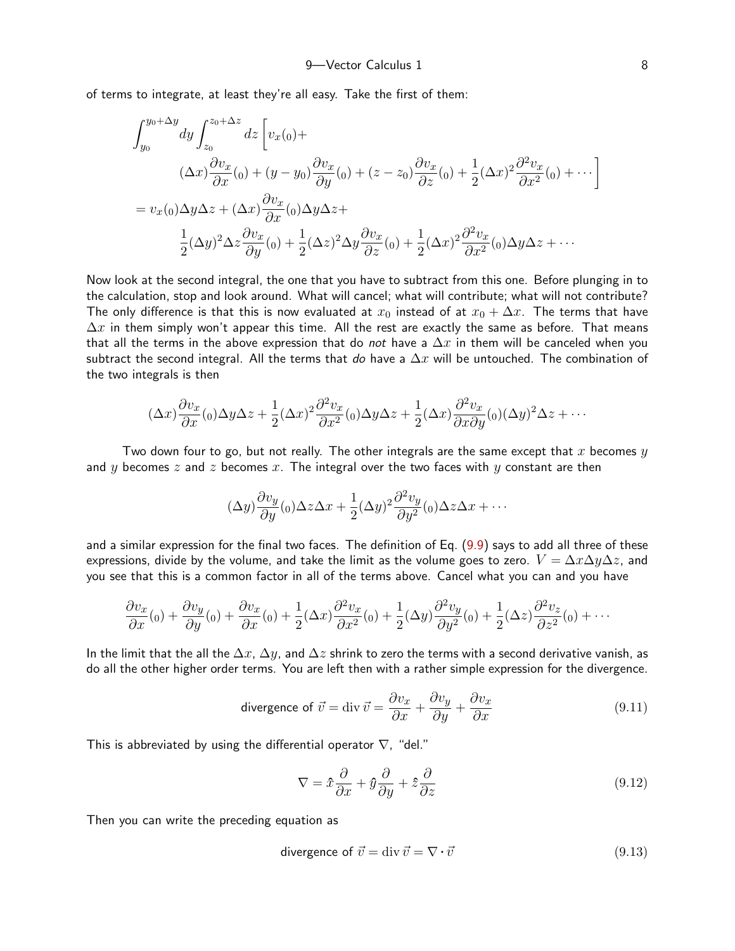of terms to integrate, at least they're all easy. Take the first of them:

$$
\int_{y_0}^{y_0 + \Delta y} dy \int_{z_0}^{z_0 + \Delta z} dz \left[ v_x(0) + \frac{\partial v_x}{\partial x}(0) + (y - y_0) \frac{\partial v_x}{\partial y}(0) + (z - z_0) \frac{\partial v_x}{\partial z}(0) + \frac{1}{2} (\Delta x)^2 \frac{\partial^2 v_x}{\partial x^2}(0) + \cdots \right]
$$
  
=  $v_x(0) \Delta y \Delta z + (\Delta x) \frac{\partial v_x}{\partial x}(0) \Delta y \Delta z + \frac{1}{2} (\Delta y)^2 \Delta z \frac{\partial v_x}{\partial y}(0) + \frac{1}{2} (\Delta z)^2 \Delta y \frac{\partial v_x}{\partial z}(0) + \frac{1}{2} (\Delta x)^2 \frac{\partial^2 v_x}{\partial x^2}(0) \Delta y \Delta z + \cdots$ 

Now look at the second integral, the one that you have to subtract from this one. Before plunging in to the calculation, stop and look around. What will cancel; what will contribute; what will not contribute? The only difference is that this is now evaluated at  $x_0$  instead of at  $x_0 + \Delta x$ . The terms that have  $\Delta x$  in them simply won't appear this time. All the rest are exactly the same as before. That means that all the terms in the above expression that do not have a  $\Delta x$  in them will be canceled when you subtract the second integral. All the terms that do have a  $\Delta x$  will be untouched. The combination of the two integrals is then

$$
(\Delta x)\frac{\partial v_x}{\partial x}(0)\Delta y\Delta z + \frac{1}{2}(\Delta x)^2 \frac{\partial^2 v_x}{\partial x^2}(0)\Delta y\Delta z + \frac{1}{2}(\Delta x)\frac{\partial^2 v_x}{\partial x \partial y}(0)(\Delta y)^2\Delta z + \cdots
$$

Two down four to go, but not really. The other integrals are the same except that x becomes  $y$ and y becomes z and z becomes x. The integral over the two faces with y constant are then

$$
(\Delta y)\frac{\partial v_y}{\partial y}(0) \Delta z \Delta x + \frac{1}{2}(\Delta y)^2 \frac{\partial^2 v_y}{\partial y^2}(0) \Delta z \Delta x + \cdots
$$

and a similar expression for the final two faces. The definition of Eq. ([9.9\)](#page-6-0) says to add all three of these expressions, divide by the volume, and take the limit as the volume goes to zero.  $V = \Delta x \Delta y \Delta z$ , and you see that this is a common factor in all of the terms above. Cancel what you can and you have

$$
\frac{\partial v_x}{\partial x}(0) + \frac{\partial v_y}{\partial y}(0) + \frac{\partial v_x}{\partial x}(0) + \frac{1}{2}(\Delta x)\frac{\partial^2 v_x}{\partial x^2}(0) + \frac{1}{2}(\Delta y)\frac{\partial^2 v_y}{\partial y^2}(0) + \frac{1}{2}(\Delta z)\frac{\partial^2 v_z}{\partial z^2}(0) + \cdots
$$

In the limit that the all the  $\Delta x$ ,  $\Delta y$ , and  $\Delta z$  shrink to zero the terms with a second derivative vanish, as do all the other higher order terms. You are left then with a rather simple expression for the divergence.

divergence of 
$$
\vec{v} = \text{div } \vec{v} = \frac{\partial v_x}{\partial x} + \frac{\partial v_y}{\partial y} + \frac{\partial v_x}{\partial x}
$$
 (9.11)

This is abbreviated by using the differential operator  $\nabla$ , "del."

<span id="page-7-1"></span>
$$
\nabla = \hat{x}\frac{\partial}{\partial x} + \hat{y}\frac{\partial}{\partial y} + \hat{z}\frac{\partial}{\partial z}
$$
\n(9.12)

Then you can write the preceding equation as

<span id="page-7-0"></span>divergence of 
$$
\vec{v} = \text{div } \vec{v} = \nabla \cdot \vec{v}
$$
 (9.13)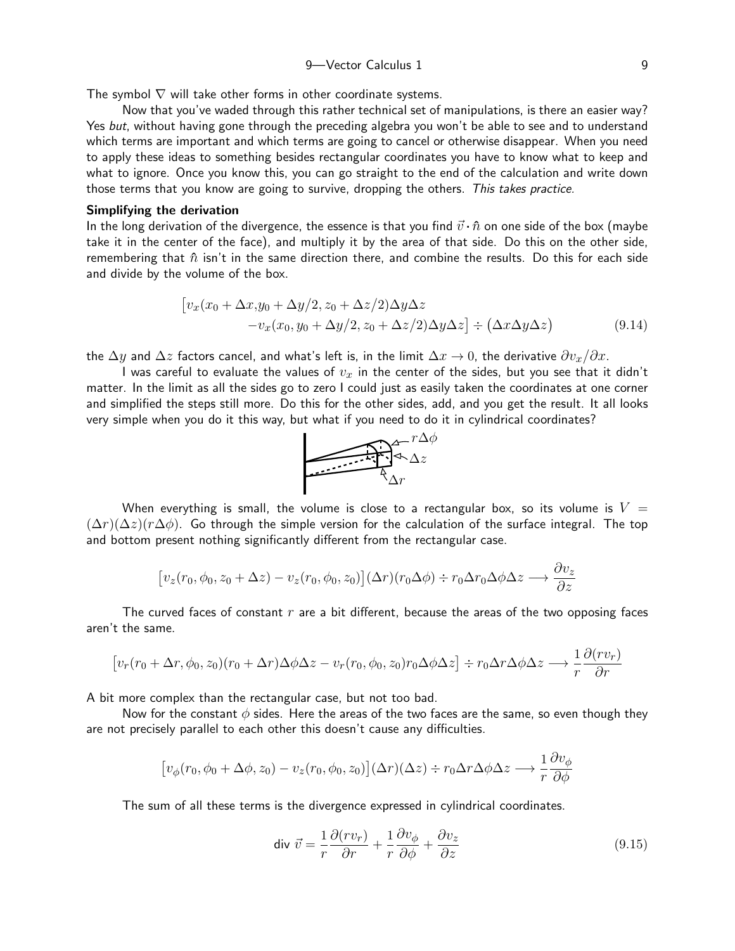The symbol  $\nabla$  will take other forms in other coordinate systems.

Now that you've waded through this rather technical set of manipulations, is there an easier way? Yes but, without having gone through the preceding algebra you won't be able to see and to understand which terms are important and which terms are going to cancel or otherwise disappear. When you need to apply these ideas to something besides rectangular coordinates you have to know what to keep and what to ignore. Once you know this, you can go straight to the end of the calculation and write down those terms that you know are going to survive, dropping the others. This takes practice.

#### Simplifying the derivation

In the long derivation of the divergence, the essence is that you find  $\vec{v} \cdot \hat{n}$  on one side of the box (maybe take it in the center of the face), and multiply it by the area of that side. Do this on the other side, remembering that  $\hat{n}$  isn't in the same direction there, and combine the results. Do this for each side and divide by the volume of the box.

$$
\begin{aligned} \left[v_x(x_0 + \Delta x, y_0 + \Delta y/2, z_0 + \Delta z/2)\Delta y\Delta z \right. \\ \left. - v_x(x_0, y_0 + \Delta y/2, z_0 + \Delta z/2)\Delta y\Delta z\right] \div \left(\Delta x \Delta y \Delta z\right) \end{aligned} \tag{9.14}
$$

the  $\Delta y$  and  $\Delta z$  factors cancel, and what's left is, in the limit  $\Delta x \to 0$ , the derivative  $\partial v_x/\partial x$ .

I was careful to evaluate the values of  $v_x$  in the center of the sides, but you see that it didn't matter. In the limit as all the sides go to zero I could just as easily taken the coordinates at one corner and simplified the steps still more. Do this for the other sides, add, and you get the result. It all looks very simple when you do it this way, but what if you need to do it in cylindrical coordinates?

<span id="page-8-0"></span>

When everything is small, the volume is close to a rectangular box, so its volume is  $V =$  $(\Delta r)(\Delta z)(r\Delta \phi)$ . Go through the simple version for the calculation of the surface integral. The top and bottom present nothing significantly different from the rectangular case.

$$
[v_z(r_0, \phi_0, z_0 + \Delta z) - v_z(r_0, \phi_0, z_0)](\Delta r)(r_0 \Delta \phi) \div r_0 \Delta r_0 \Delta \phi \Delta z \longrightarrow \frac{\partial v_z}{\partial z}
$$

The curved faces of constant  $r$  are a bit different, because the areas of the two opposing faces aren't the same.

$$
[v_r(r_0+\Delta r,\phi_0,z_0)(r_0+\Delta r)\Delta\phi\Delta z - v_r(r_0,\phi_0,z_0)r_0\Delta\phi\Delta z] \div r_0\Delta r\Delta\phi\Delta z \longrightarrow \frac{1}{r}\frac{\partial (rv_r)}{\partial r}
$$

A bit more complex than the rectangular case, but not too bad.

Now for the constant  $\phi$  sides. Here the areas of the two faces are the same, so even though they are not precisely parallel to each other this doesn't cause any difficulties.

$$
[v_{\phi}(r_0, \phi_0 + \Delta \phi, z_0) - v_z(r_0, \phi_0, z_0)](\Delta r)(\Delta z) \div r_0 \Delta r \Delta \phi \Delta z \longrightarrow \frac{1}{r} \frac{\partial v_{\phi}}{\partial \phi}
$$

The sum of all these terms is the divergence expressed in cylindrical coordinates.

<span id="page-8-1"></span>
$$
\text{div } \vec{v} = \frac{1}{r} \frac{\partial (rv_r)}{\partial r} + \frac{1}{r} \frac{\partial v_\phi}{\partial \phi} + \frac{\partial v_z}{\partial z} \tag{9.15}
$$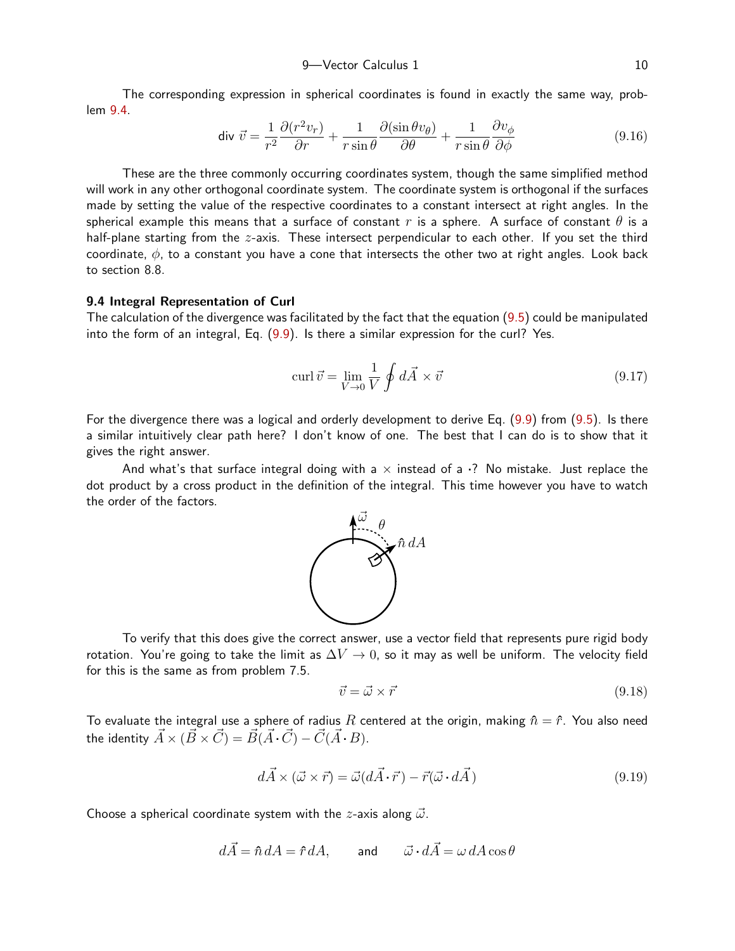The corresponding expression in spherical coordinates is found in exactly the same way, problem [9.4.](#page-22-0)

<span id="page-9-1"></span>
$$
\text{div } \vec{v} = \frac{1}{r^2} \frac{\partial (r^2 v_r)}{\partial r} + \frac{1}{r \sin \theta} \frac{\partial (\sin \theta v_\theta)}{\partial \theta} + \frac{1}{r \sin \theta} \frac{\partial v_\phi}{\partial \phi} \tag{9.16}
$$

These are the three commonly occurring coordinates system, though the same simplified method will work in any other orthogonal coordinate system. The coordinate system is orthogonal if the surfaces made by setting the value of the respective coordinates to a constant intersect at right angles. In the spherical example this means that a surface of constant r is a sphere. A surface of constant  $\theta$  is a half-plane starting from the z-axis. These intersect perpendicular to each other. If you set the third coordinate,  $\phi$ , to a constant you have a cone that intersects the other two at right angles. Look back to section 8.8.

# 9.4 Integral Representation of Curl

The calculation of the divergence was facilitated by the fact that the equation ([9.5\)](#page-4-0) could be manipulated into the form of an integral, Eq. [\(9.9\)](#page-6-0). Is there a similar expression for the curl? Yes.

<span id="page-9-0"></span>
$$
\operatorname{curl} \vec{v} = \lim_{V \to 0} \frac{1}{V} \oint d\vec{A} \times \vec{v}
$$
\n(9.17)

For the divergence there was a logical and orderly development to derive Eq. ([9.9\)](#page-6-0) from ([9.5\)](#page-4-0). Is there a similar intuitively clear path here? I don't know of one. The best that I can do is to show that it gives the right answer.

And what's that surface integral doing with a  $\times$  instead of a  $\cdot$ ? No mistake. Just replace the dot product by a cross product in the definition of the integral. This time however you have to watch the order of the factors.



To verify that this does give the correct answer, use a vector field that represents pure rigid body rotation. You're going to take the limit as  $\Delta V \rightarrow 0$ , so it may as well be uniform. The velocity field for this is the same as from problem 7.5.

$$
\vec{v} = \vec{\omega} \times \vec{r} \tag{9.18}
$$

To evaluate the integral use a sphere of radius R centered at the origin, making  $\hat{n} = \hat{r}$ . You also need the identity  $\vec{A} \times (\vec{B} \times \vec{C}) = \vec{B}(\vec{A} \cdot \vec{C}) - \vec{C}(\vec{A} \cdot \vec{B}).$ 

$$
d\vec{A} \times (\vec{\omega} \times \vec{r}) = \vec{\omega}(d\vec{A} \cdot \vec{r}) - \vec{r}(\vec{\omega} \cdot d\vec{A})
$$
\n(9.19)

Choose a spherical coordinate system with the *z*-axis along  $\vec{\omega}$ .

$$
d\vec{A} = \hat{n} dA = \hat{r} dA, \qquad \text{and} \qquad \vec{\omega} \cdot d\vec{A} = \omega dA \cos \theta
$$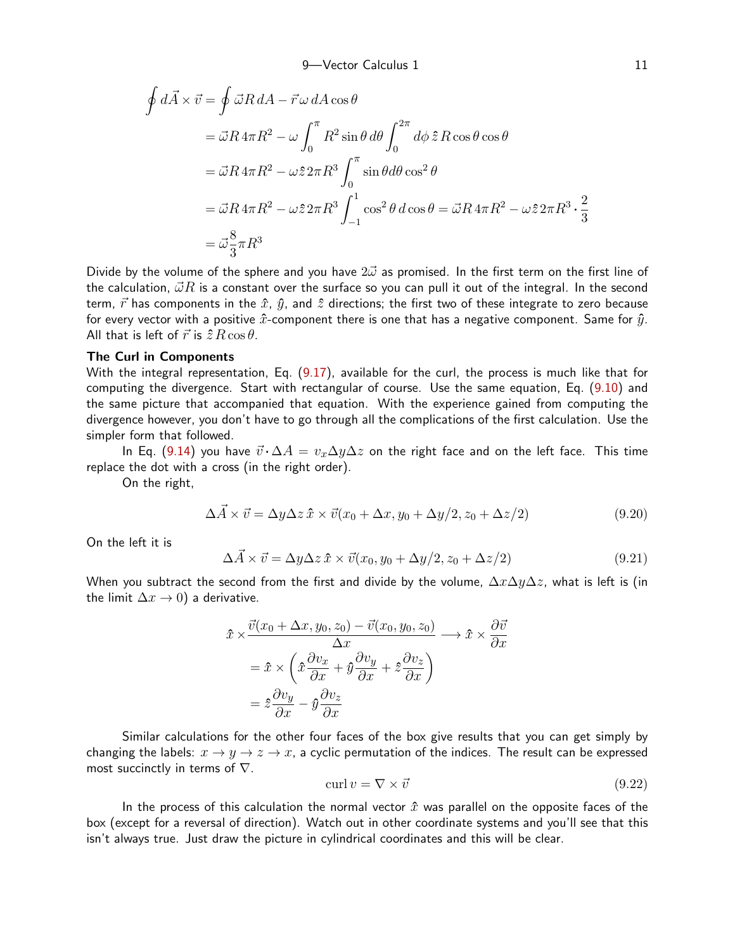$$
\oint d\vec{A} \times \vec{v} = \oint \vec{\omega}R \, dA - \vec{r}\,\omega \, dA \cos\theta
$$
\n
$$
= \vec{\omega}R \, 4\pi R^2 - \omega \int_0^{\pi} R^2 \sin\theta \, d\theta \int_0^{2\pi} d\phi \, \hat{z} \, R \cos\theta \cos\theta
$$
\n
$$
= \vec{\omega}R \, 4\pi R^2 - \omega \hat{z} \, 2\pi R^3 \int_0^{\pi} \sin\theta d\theta \cos^2\theta
$$
\n
$$
= \vec{\omega}R \, 4\pi R^2 - \omega \hat{z} \, 2\pi R^3 \int_{-1}^1 \cos^2\theta \, d\cos\theta = \vec{\omega}R \, 4\pi R^2 - \omega \hat{z} \, 2\pi R^3 \cdot \frac{2}{3}
$$
\n
$$
= \vec{\omega} \frac{8}{3}\pi R^3
$$

Divide by the volume of the sphere and you have  $2\vec{\omega}$  as promised. In the first term on the first line of the calculation,  $\vec{\omega}R$  is a constant over the surface so you can pull it out of the integral. In the second term,  $\vec{r}$  has components in the  $\hat{x}$ ,  $\hat{y}$ , and  $\hat{z}$  directions; the first two of these integrate to zero because for every vector with a positive  $\hat{x}$ -component there is one that has a negative component. Same for  $\hat{y}$ . All that is left of  $\vec{r}$  is  $\hat{z} R \cos \theta$ .

### The Curl in Components

With the integral representation, Eq. ([9.17](#page-9-0)), available for the curl, the process is much like that for computing the divergence. Start with rectangular of course. Use the same equation, Eq. [\(9.10](#page-6-1)) and the same picture that accompanied that equation. With the experience gained from computing the divergence however, you don't have to go through all the complications of the first calculation. Use the simpler form that followed.

In Eq. [\(9.14](#page-8-0)) you have  $\vec{v} \cdot \Delta A = v_x \Delta y \Delta z$  on the right face and on the left face. This time replace the dot with a cross (in the right order).

On the right,

$$
\Delta \vec{A} \times \vec{v} = \Delta y \Delta z \,\hat{x} \times \vec{v} (x_0 + \Delta x, y_0 + \Delta y / 2, z_0 + \Delta z / 2)
$$
\n(9.20)

On the left it is

$$
\Delta \vec{A} \times \vec{v} = \Delta y \Delta z \,\hat{x} \times \vec{v}(x_0, y_0 + \Delta y/2, z_0 + \Delta z/2)
$$
\n(9.21)

When you subtract the second from the first and divide by the volume,  $\Delta x \Delta y \Delta z$ , what is left is (in the limit  $\Delta x \rightarrow 0$ ) a derivative.

$$
\begin{aligned} \hat{x} \times \frac{\vec{v}(x_0 + \Delta x, y_0, z_0) - \vec{v}(x_0, y_0, z_0)}{\Delta x} &\longrightarrow \hat{x} \times \frac{\partial \vec{v}}{\partial x} \\ &= \hat{x} \times \left( \hat{x} \frac{\partial v_x}{\partial x} + \hat{y} \frac{\partial v_y}{\partial x} + \hat{z} \frac{\partial v_z}{\partial x} \right) \\ &= \hat{z} \frac{\partial v_y}{\partial x} - \hat{y} \frac{\partial v_z}{\partial x} \end{aligned}
$$

Similar calculations for the other four faces of the box give results that you can get simply by changing the labels:  $x \to y \to z \to x$ , a cyclic permutation of the indices. The result can be expressed most succinctly in terms of  $\nabla$ .

<span id="page-10-0"></span>
$$
\operatorname{curl} v = \nabla \times \vec{v} \tag{9.22}
$$

In the process of this calculation the normal vector  $\hat{x}$  was parallel on the opposite faces of the box (except for a reversal of direction). Watch out in other coordinate systems and you'll see that this isn't always true. Just draw the picture in cylindrical coordinates and this will be clear.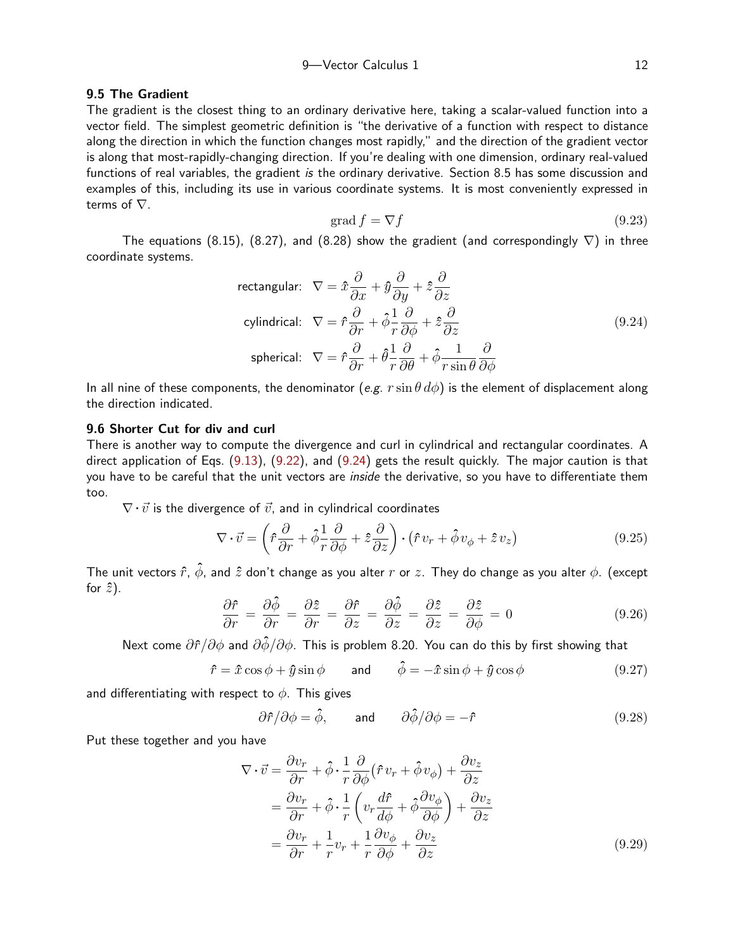# 9.5 The Gradient

The gradient is the closest thing to an ordinary derivative here, taking a scalar-valued function into a vector field. The simplest geometric definition is "the derivative of a function with respect to distance along the direction in which the function changes most rapidly," and the direction of the gradient vector is along that most-rapidly-changing direction. If you're dealing with one dimension, ordinary real-valued functions of real variables, the gradient is the ordinary derivative. Section 8.5 has some discussion and examples of this, including its use in various coordinate systems. It is most conveniently expressed in terms of ∇.

<span id="page-11-0"></span>
$$
\operatorname{grad} f = \nabla f \tag{9.23}
$$

The equations (8.15), (8.27), and (8.28) show the gradient (and correspondingly  $\nabla$ ) in three coordinate systems.

rectangular: 
$$
\nabla = \hat{x} \frac{\partial}{\partial x} + \hat{y} \frac{\partial}{\partial y} + \hat{z} \frac{\partial}{\partial z}
$$
  
cylindrical: 
$$
\nabla = \hat{r} \frac{\partial}{\partial r} + \hat{\phi} \frac{1}{r} \frac{\partial}{\partial \phi} + \hat{z} \frac{\partial}{\partial z}
$$
  
spherical: 
$$
\nabla = \hat{r} \frac{\partial}{\partial r} + \hat{\theta} \frac{1}{r} \frac{\partial}{\partial \theta} + \hat{\phi} \frac{1}{r \sin \theta} \frac{\partial}{\partial \phi}
$$
 (9.24)

In all nine of these components, the denominator (e.g.  $r \sin \theta d\phi$ ) is the element of displacement along the direction indicated.

# 9.6 Shorter Cut for div and curl

<span id="page-11-2"></span>There is another way to compute the divergence and curl in cylindrical and rectangular coordinates. A direct application of Eqs. [\(9.13](#page-7-0)), [\(9.22](#page-10-0)), and [\(9.24](#page-11-0)) gets the result quickly. The major caution is that you have to be careful that the unit vectors are *inside* the derivative, so you have to differentiate them too.

 $\nabla \cdot \vec{v}$  is the divergence of  $\vec{v}$ , and in cylindrical coordinates

$$
\nabla \cdot \vec{v} = \left(\hat{r}\frac{\partial}{\partial r} + \hat{\phi}\frac{1}{r}\frac{\partial}{\partial \phi} + \hat{z}\frac{\partial}{\partial z}\right) \cdot \left(\hat{r}v_r + \hat{\phi}v_{\phi} + \hat{z}v_z\right) \tag{9.25}
$$

The unit vectors  $\hat{r}$ ,  $\hat{\phi}$ , and  $\hat{z}$  don't change as you alter r or z. They do change as you alter  $\phi$ . (except for  $\hat{z}$ ).

$$
\frac{\partial \hat{r}}{\partial r} = \frac{\partial \hat{\phi}}{\partial r} = \frac{\partial \hat{z}}{\partial r} = \frac{\partial \hat{r}}{\partial z} = \frac{\partial \hat{\phi}}{\partial z} = \frac{\partial \hat{z}}{\partial z} = \frac{\partial \hat{z}}{\partial \phi} = 0 \tag{9.26}
$$

Next come  $\partial \hat{r}/\partial \phi$  and  $\partial \hat{\phi}/\partial \phi$ . This is problem 8.20. You can do this by first showing that

$$
\hat{r} = \hat{x}\cos\phi + \hat{y}\sin\phi \qquad \text{and} \qquad \hat{\phi} = -\hat{x}\sin\phi + \hat{y}\cos\phi \tag{9.27}
$$

and differentiating with respect to  $\phi$ . This gives

<span id="page-11-1"></span>
$$
\partial \hat{r}/\partial \phi = \hat{\phi}, \quad \text{and} \quad \partial \hat{\phi}/\partial \phi = -\hat{r}
$$
 (9.28)

Put these together and you have

$$
\nabla \cdot \vec{v} = \frac{\partial v_r}{\partial r} + \hat{\phi} \cdot \frac{1}{r} \frac{\partial}{\partial \phi} (\hat{r} v_r + \hat{\phi} v_{\phi}) + \frac{\partial v_z}{\partial z} \n= \frac{\partial v_r}{\partial r} + \hat{\phi} \cdot \frac{1}{r} \left( v_r \frac{d\hat{r}}{d\phi} + \hat{\phi} \frac{\partial v_{\phi}}{\partial \phi} \right) + \frac{\partial v_z}{\partial z} \n= \frac{\partial v_r}{\partial r} + \frac{1}{r} v_r + \frac{1}{r} \frac{\partial v_{\phi}}{\partial \phi} + \frac{\partial v_z}{\partial z}
$$
\n(9.29)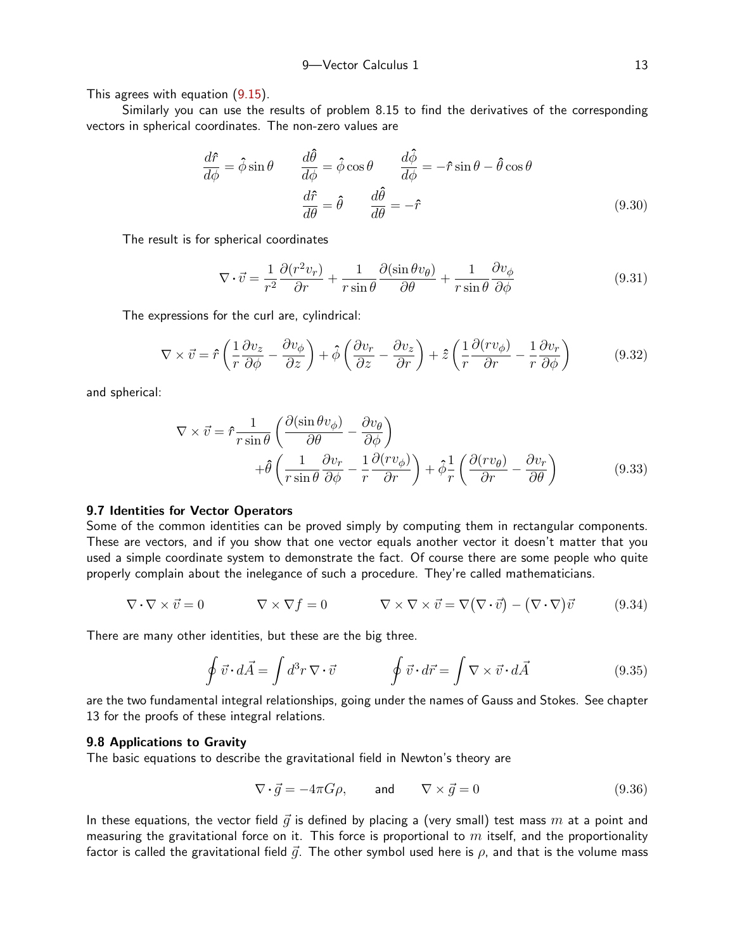This agrees with equation [\(9.15](#page-8-1)).

Similarly you can use the results of problem 8.15 to find the derivatives of the corresponding vectors in spherical coordinates. The non-zero values are

$$
\frac{d\hat{r}}{d\phi} = \hat{\phi}\sin\theta \qquad \frac{d\hat{\theta}}{d\phi} = \hat{\phi}\cos\theta \qquad \frac{d\hat{\phi}}{d\phi} = -\hat{r}\sin\theta - \hat{\theta}\cos\theta
$$
\n
$$
\frac{d\hat{r}}{d\theta} = \hat{\theta} \qquad \frac{d\hat{\theta}}{d\theta} = -\hat{r} \qquad (9.30)
$$

The result is for spherical coordinates

<span id="page-12-3"></span><span id="page-12-2"></span>
$$
\nabla \cdot \vec{v} = \frac{1}{r^2} \frac{\partial (r^2 v_r)}{\partial r} + \frac{1}{r \sin \theta} \frac{\partial (\sin \theta v_\theta)}{\partial \theta} + \frac{1}{r \sin \theta} \frac{\partial v_\phi}{\partial \phi}
$$
(9.31)

The expressions for the curl are, cylindrical:

$$
\nabla \times \vec{v} = \hat{r} \left( \frac{1}{r} \frac{\partial v_z}{\partial \phi} - \frac{\partial v_{\phi}}{\partial z} \right) + \hat{\phi} \left( \frac{\partial v_r}{\partial z} - \frac{\partial v_z}{\partial r} \right) + \hat{z} \left( \frac{1}{r} \frac{\partial (rv_{\phi})}{\partial r} - \frac{1}{r} \frac{\partial v_r}{\partial \phi} \right)
$$
(9.32)

and spherical:

<span id="page-12-0"></span>
$$
\nabla \times \vec{v} = \hat{r} \frac{1}{r \sin \theta} \left( \frac{\partial (\sin \theta v_{\phi})}{\partial \theta} - \frac{\partial v_{\theta}}{\partial \phi} \right) + \hat{\theta} \left( \frac{1}{r \sin \theta} \frac{\partial v_{r}}{\partial \phi} - \frac{1}{r} \frac{\partial (r v_{\phi})}{\partial r} \right) + \hat{\phi} \frac{1}{r} \left( \frac{\partial (r v_{\theta})}{\partial r} - \frac{\partial v_{r}}{\partial \theta} \right)
$$
(9.33)

## 9.7 Identities for Vector Operators

Some of the common identities can be proved simply by computing them in rectangular components. These are vectors, and if you show that one vector equals another vector it doesn't matter that you used a simple coordinate system to demonstrate the fact. Of course there are some people who quite properly complain about the inelegance of such a procedure. They're called mathematicians.

$$
\nabla \cdot \nabla \times \vec{v} = 0 \qquad \nabla \times \nabla f = 0 \qquad \nabla \times \nabla \times \vec{v} = \nabla (\nabla \cdot \vec{v}) - (\nabla \cdot \nabla) \vec{v} \qquad (9.34)
$$

There are many other identities, but these are the big three.

$$
\oint \vec{v} \cdot d\vec{A} = \int d^3r \, \nabla \cdot \vec{v} \qquad \oint \vec{v} \cdot d\vec{r} = \int \nabla \times \vec{v} \cdot d\vec{A} \qquad (9.35)
$$

are the two fundamental integral relationships, going under the names of Gauss and Stokes. See chapter 13 for the proofs of these integral relations.

## 9.8 Applications to Gravity

The basic equations to describe the gravitational field in Newton's theory are

<span id="page-12-1"></span>
$$
\nabla \cdot \vec{g} = -4\pi G \rho, \quad \text{and} \quad \nabla \times \vec{g} = 0 \tag{9.36}
$$

In these equations, the vector field  $\vec{q}$  is defined by placing a (very small) test mass m at a point and measuring the gravitational force on it. This force is proportional to  $m$  itself, and the proportionality factor is called the gravitational field  $\vec{q}$ . The other symbol used here is  $\rho$ , and that is the volume mass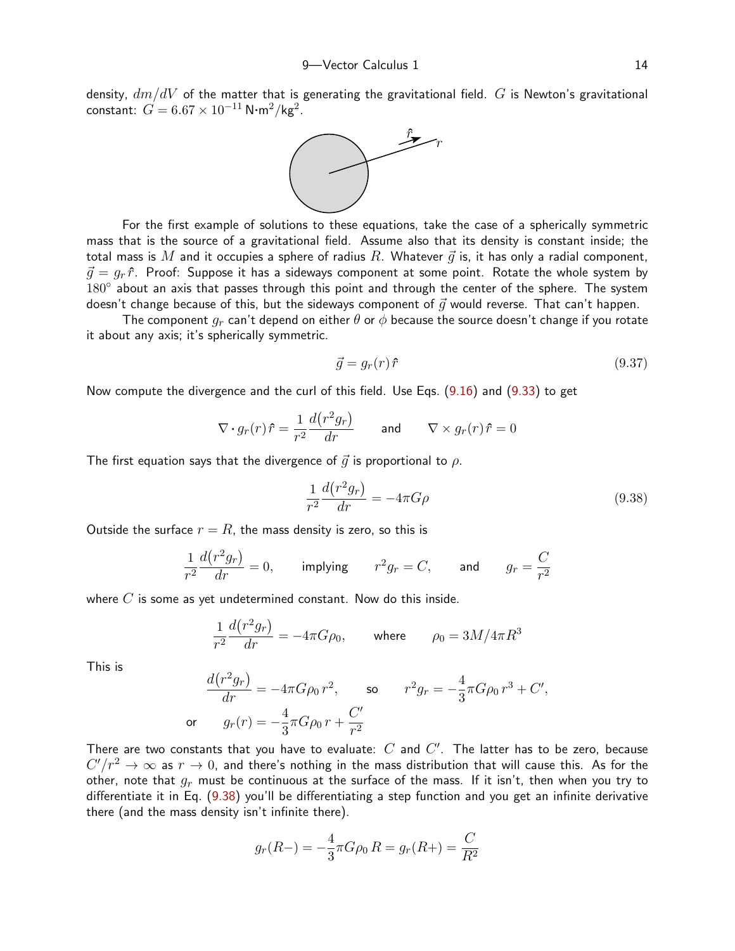density,  $dm/dV$  of the matter that is generating the gravitational field. G is Newton's gravitational  $\mathsf{constant}\colon\thinspace G=6.67\times 10^{-11}\,\mathsf{N}\!\cdot\!\mathsf{m}^2/\mathsf{kg}^2.$ 



For the first example of solutions to these equations, take the case of a spherically symmetric mass that is the source of a gravitational field. Assume also that its density is constant inside; the total mass is  $M$  and it occupies a sphere of radius  $R$ . Whatever  $\vec{g}$  is, it has only a radial component,  $\vec{q} = g_r \hat{r}$ . Proof: Suppose it has a sideways component at some point. Rotate the whole system by 180° about an axis that passes through this point and through the center of the sphere. The system doesn't change because of this, but the sideways component of  $\vec{q}$  would reverse. That can't happen.

The component  $q_r$  can't depend on either  $\theta$  or  $\phi$  because the source doesn't change if you rotate it about any axis; it's spherically symmetric.

$$
\vec{g} = g_r(r)\hat{r} \tag{9.37}
$$

Now compute the divergence and the curl of this field. Use Eqs. ([9.16](#page-9-1)) and [\(9.33](#page-12-0)) to get

$$
\nabla \cdot g_r(r)\hat{r} = \frac{1}{r^2} \frac{d(r^2g_r)}{dr} \quad \text{and} \quad \nabla \times g_r(r)\hat{r} = 0
$$

The first equation says that the divergence of  $\vec{g}$  is proportional to  $\rho$ .

<span id="page-13-0"></span>
$$
\frac{1}{r^2}\frac{d(r^2g_r)}{dr} = -4\pi G\rho\tag{9.38}
$$

Outside the surface  $r = R$ , the mass density is zero, so this is

$$
\frac{1}{r^2}\frac{d(r^2g_r)}{dr} = 0, \qquad \text{implying} \qquad r^2g_r = C, \qquad \text{and} \qquad g_r = \frac{C}{r^2}
$$

where  $C$  is some as yet undetermined constant. Now do this inside.

$$
\frac{1}{r^2}\frac{d(r^2g_r)}{dr} = -4\pi G\rho_0, \quad \text{where} \quad \rho_0 = 3M/4\pi R^3
$$

This is

$$
\frac{d(r^2g_r)}{dr} = -4\pi G\rho_0 r^2, \qquad \text{so} \qquad r^2g_r = -\frac{4}{3}\pi G\rho_0 r^3 + C',
$$
\n
$$
\text{or} \qquad g_r(r) = -\frac{4}{3}\pi G\rho_0 r + \frac{C'}{r^2}
$$

There are two constants that you have to evaluate:  $C$  and  $C'$ . The latter has to be zero, because  $C'/r^2 \to \infty$  as  $r \to 0$ , and there's nothing in the mass distribution that will cause this. As for the other, note that  $q_r$  must be continuous at the surface of the mass. If it isn't, then when you try to differentiate it in Eq. ([9.38](#page-13-0)) you'll be differentiating a step function and you get an infinite derivative there (and the mass density isn't infinite there).

$$
g_r(R-) = -\frac{4}{3}\pi G \rho_0 R = g_r(R+) = \frac{C}{R^2}
$$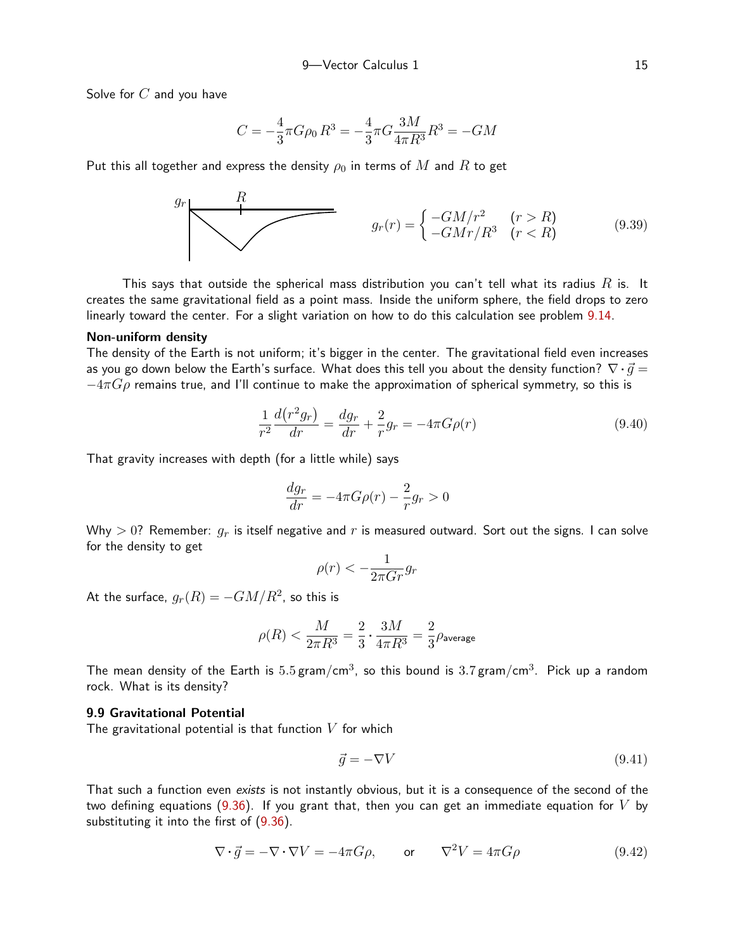Solve for  $C$  and you have

<span id="page-14-1"></span>
$$
C=-\frac{4}{3}\pi G\rho_0\,R^3=-\frac{4}{3}\pi G\frac{3M}{4\pi R^3}R^3=-GM
$$

Put this all together and express the density  $\rho_0$  in terms of M and R to get

$$
g_r
$$
\n
$$
g_r(r) = \begin{cases}\n-GM/r^2 & (r > R) \\
-GMr/R^3 & (r < R)\n\end{cases}
$$
\n(9.39)

This says that outside the spherical mass distribution you can't tell what its radius  $R$  is. It creates the same gravitational field as a point mass. Inside the uniform sphere, the field drops to zero linearly toward the center. For a slight variation on how to do this calculation see problem [9.14](#page-23-0).

# Non-uniform density

The density of the Earth is not uniform; it's bigger in the center. The gravitational field even increases as you go down below the Earth's surface. What does this tell you about the density function?  $\nabla \cdot \vec{q} =$  $-4\pi G\rho$  remains true, and I'll continue to make the approximation of spherical symmetry, so this is

$$
\frac{1}{r^2}\frac{d(r^2g_r)}{dr} = \frac{dg_r}{dr} + \frac{2}{r}g_r = -4\pi G\rho(r)
$$
\n(9.40)

That gravity increases with depth (for a little while) says

$$
\frac{dg_r}{dr} = -4\pi G\rho(r) - \frac{2}{r}g_r > 0
$$

Why  $> 0$ ? Remember:  $q_r$  is itself negative and r is measured outward. Sort out the signs. I can solve for the density to get

$$
\rho(r) < -\frac{1}{2\pi G r} g_r
$$

At the surface,  $g_r(R) = - G M/R^2$ , so this is

$$
\rho(R)<\frac{M}{2\pi R^3}=\frac{2}{3}\cdot\frac{3M}{4\pi R^3}=\frac{2}{3}\rho_{\rm average}
$$

The mean density of the Earth is  $5.5\,\mathrm{gram/cm^3}$ , so this bound is  $3.7\,\mathrm{gram/cm^3}$ . Pick up a random rock. What is its density?

# 9.9 Gravitational Potential

The gravitational potential is that function  $V$  for which

<span id="page-14-0"></span>
$$
\vec{g} = -\nabla V \tag{9.41}
$$

That such a function even exists is not instantly obvious, but it is a consequence of the second of the two defining equations ([9.36](#page-12-1)). If you grant that, then you can get an immediate equation for  $V$  by substituting it into the first of [\(9.36](#page-12-1)).

$$
\nabla \cdot \vec{g} = -\nabla \cdot \nabla V = -4\pi G \rho, \quad \text{or} \quad \nabla^2 V = 4\pi G \rho \tag{9.42}
$$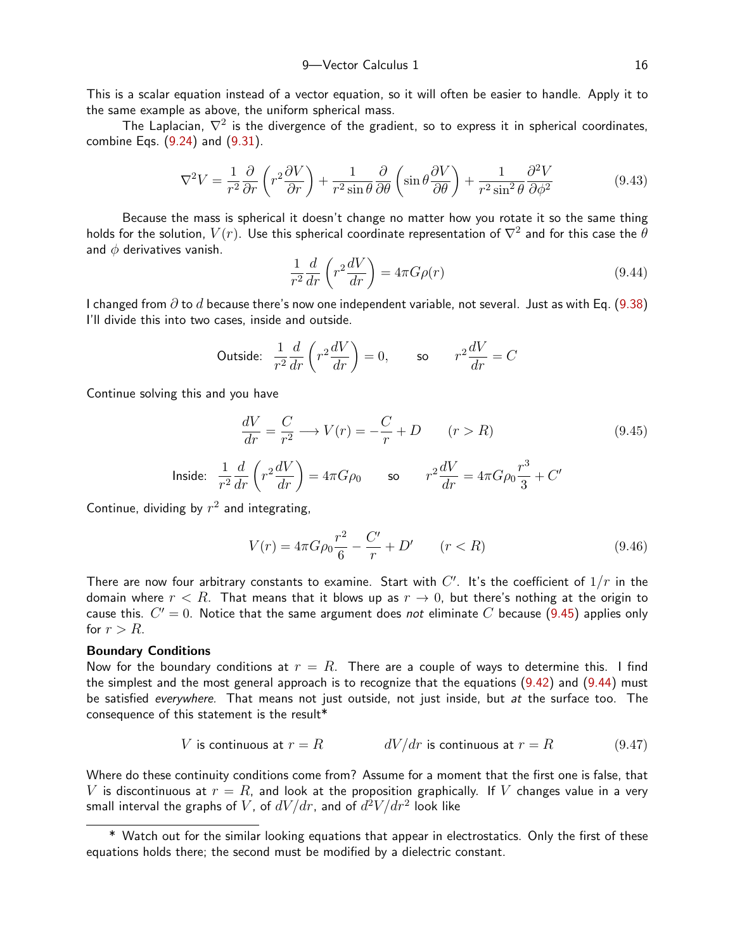This is a scalar equation instead of a vector equation, so it will often be easier to handle. Apply it to the same example as above, the uniform spherical mass.

The Laplacian,  $\nabla^2$  is the divergence of the gradient, so to express it in spherical coordinates, combine Eqs. ([9.24](#page-11-0)) and ([9.31](#page-12-2)).

$$
\nabla^2 V = \frac{1}{r^2} \frac{\partial}{\partial r} \left( r^2 \frac{\partial V}{\partial r} \right) + \frac{1}{r^2 \sin \theta} \frac{\partial}{\partial \theta} \left( \sin \theta \frac{\partial V}{\partial \theta} \right) + \frac{1}{r^2 \sin^2 \theta} \frac{\partial^2 V}{\partial \phi^2}
$$
(9.43)

Because the mass is spherical it doesn't change no matter how you rotate it so the same thing holds for the solution,  $V(r)$ . Use this spherical coordinate representation of  $\nabla^2$  and for this case the  $\theta$ and  $\phi$  derivatives vanish.

<span id="page-15-4"></span><span id="page-15-1"></span>
$$
\frac{1}{r^2}\frac{d}{dr}\left(r^2\frac{dV}{dr}\right) = 4\pi G\rho(r)
$$
\n(9.44)

I changed from  $\partial$  to  $d$  because there's now one independent variable, not several. Just as with Eq. ([9.38](#page-13-0)) I'll divide this into two cases, inside and outside.

Outside: 
$$
\frac{1}{r^2} \frac{d}{dr} \left( r^2 \frac{dV}{dr} \right) = 0
$$
, so  $r^2 \frac{dV}{dr} = C$ 

Continue solving this and you have

<span id="page-15-0"></span>
$$
\frac{dV}{dr} = \frac{C}{r^2} \longrightarrow V(r) = -\frac{C}{r} + D \qquad (r > R)
$$
\n(9.45)

$$
\text{Inside:} \quad \frac{1}{r^2} \frac{d}{dr} \left( r^2 \frac{dV}{dr} \right) = 4\pi G \rho_0 \qquad \text{so} \qquad r^2 \frac{dV}{dr} = 4\pi G \rho_0 \frac{r^3}{3} + C'
$$

Continue, dividing by  $r^2$  and integrating,

<span id="page-15-2"></span>
$$
V(r) = 4\pi G \rho_0 \frac{r^2}{6} - \frac{C'}{r} + D' \qquad (r < R) \tag{9.46}
$$

There are now four arbitrary constants to examine. Start with  $C'$ . It's the coefficient of  $1/r$  in the domain where  $r < R$ . That means that it blows up as  $r \to 0$ , but there's nothing at the origin to cause this.  $C' = 0$ . Notice that the same argument does not eliminate C because ([9.45](#page-15-0)) applies only for  $r > R$ .

#### Boundary Conditions

Now for the boundary conditions at  $r = R$ . There are a couple of ways to determine this. I find the simplest and the most general approach is to recognize that the equations  $(9.42)$  $(9.42)$  $(9.42)$  and  $(9.44)$  $(9.44)$  must be satisfied everywhere. That means not just outside, not just inside, but at the surface too. The consequence of this statement is the result\*

<span id="page-15-3"></span>
$$
V \text{ is continuous at } r = R \qquad \qquad dV/dr \text{ is continuous at } r = R \qquad \qquad (9.47)
$$

Where do these continuity conditions come from? Assume for a moment that the first one is false, that V is discontinuous at  $r = R$ , and look at the proposition graphically. If V changes value in a very small interval the graphs of  $V$ , of  $dV/dr$ , and of  $d^2V/dr^2$  look like

<sup>\*</sup> Watch out for the similar looking equations that appear in electrostatics. Only the first of these equations holds there; the second must be modified by a dielectric constant.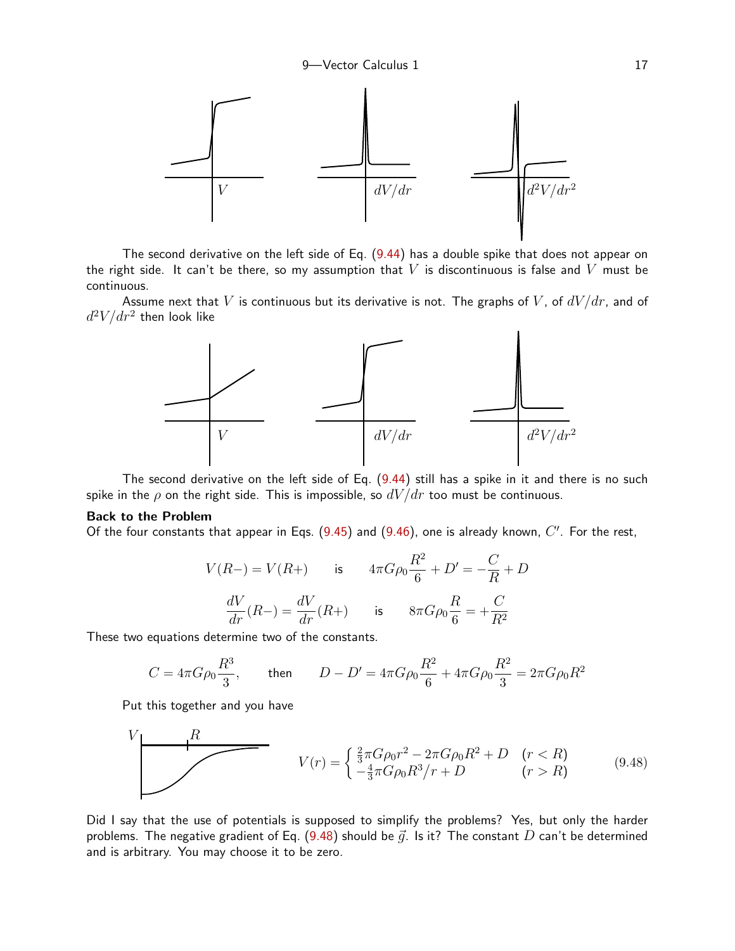

The second derivative on the left side of Eq. ([9.44](#page-15-1)) has a double spike that does not appear on the right side. It can't be there, so my assumption that  $V$  is discontinuous is false and  $V$  must be continuous.

Assume next that V is continuous but its derivative is not. The graphs of V, of  $dV/dr$ , and of  $d^2V/dr^2$  then look like



The second derivative on the left side of Eq.  $(9.44)$  $(9.44)$  still has a spike in it and there is no such spike in the  $\rho$  on the right side. This is impossible, so  $dV/dr$  too must be continuous.

#### Back to the Problem

Of the four constants that appear in Eqs.  $(9.45)$  $(9.45)$  $(9.45)$  and  $(9.46)$  $(9.46)$  $(9.46)$ , one is already known,  $C'$ . For the rest,

<span id="page-16-0"></span>
$$
V(R-) = V(R+) \qquad \text{is} \qquad 4\pi G \rho_0 \frac{R^2}{6} + D' = -\frac{C}{R} + D
$$
\n
$$
\frac{dV}{dr}(R-) = \frac{dV}{dr}(R+) \qquad \text{is} \qquad 8\pi G \rho_0 \frac{R}{6} = +\frac{C}{R^2}
$$

These two equations determine two of the constants.

$$
C = 4\pi G \rho_0 \frac{R^3}{3}, \qquad \text{then} \qquad D - D' = 4\pi G \rho_0 \frac{R^2}{6} + 4\pi G \rho_0 \frac{R^2}{3} = 2\pi G \rho_0 R^2
$$

Put this together and you have

$$
V(r) = \begin{cases} \frac{2}{3}\pi G\rho_0 r^2 - 2\pi G\rho_0 R^2 + D & (r < R) \\ -\frac{4}{3}\pi G\rho_0 R^3 / r + D & (r > R) \end{cases}
$$
(9.48)

Did I say that the use of potentials is supposed to simplify the problems? Yes, but only the harder problems. The negative gradient of Eq. ([9.48](#page-16-0)) should be  $\vec{q}$ . Is it? The constant D can't be determined and is arbitrary. You may choose it to be zero.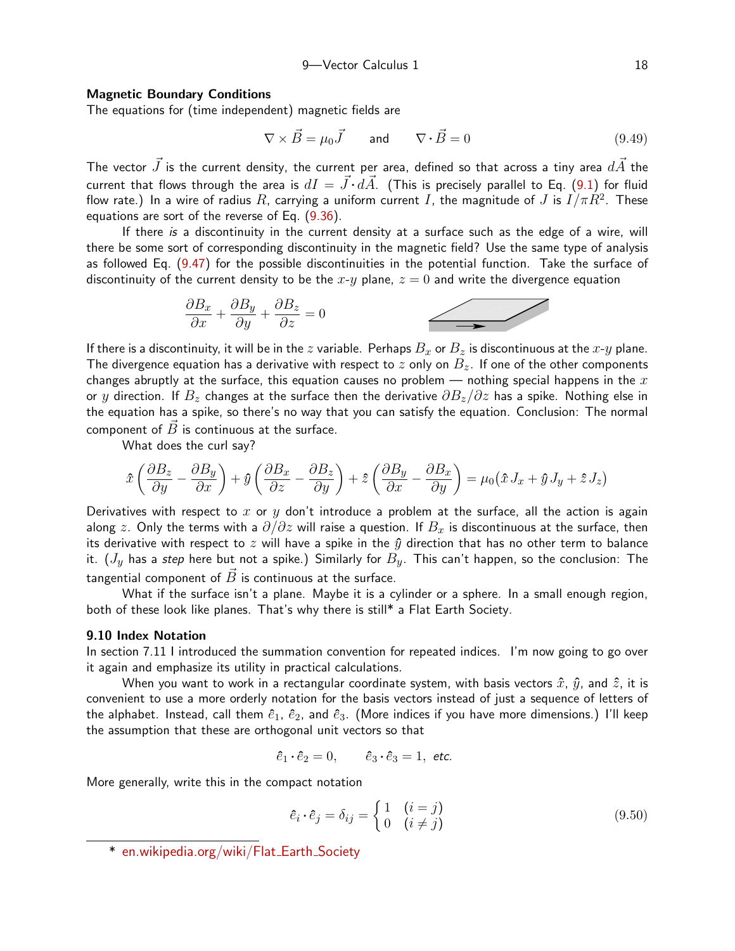### Magnetic Boundary Conditions

The equations for (time independent) magnetic fields are

$$
\nabla \times \vec{B} = \mu_0 \vec{J} \quad \text{and} \quad \nabla \cdot \vec{B} = 0 \tag{9.49}
$$

The vector  $\vec{J}$  is the current density, the current per area, defined so that across a tiny area  $d\vec{A}$  the current that flows through the area is  $dI = \vec{J} \cdot d\vec{A}$ . (This is precisely parallel to Eq. ([9.1\)](#page-0-0) for fluid flow rate.) In a wire of radius  $R$ , carrying a uniform current  $I$ , the magnitude of  $J$  is  $I/\pi R^2$ . These equations are sort of the reverse of Eq. [\(9.36](#page-12-1)).

If there is a discontinuity in the current density at a surface such as the edge of a wire, will there be some sort of corresponding discontinuity in the magnetic field? Use the same type of analysis as followed Eq. ([9.47](#page-15-3)) for the possible discontinuities in the potential function. Take the surface of discontinuity of the current density to be the  $x-y$  plane,  $z = 0$  and write the divergence equation

$$
\frac{\partial B_x}{\partial x} + \frac{\partial B_y}{\partial y} + \frac{\partial B_z}{\partial z} = 0
$$

If there is a discontinuity, it will be in the z variable. Perhaps  $B_x$  or  $B_z$  is discontinuous at the x-y plane. The divergence equation has a derivative with respect to  $z$  only on  $B_z$ . If one of the other components changes abruptly at the surface, this equation causes no problem — nothing special happens in the  $x$ or y direction. If  $B_z$  changes at the surface then the derivative  $\partial B_z/\partial z$  has a spike. Nothing else in the equation has a spike, so there's no way that you can satisfy the equation. Conclusion: The normal component of  $\vec{B}$  is continuous at the surface.

What does the curl say?

$$
\hat{x}\left(\frac{\partial B_z}{\partial y} - \frac{\partial B_y}{\partial x}\right) + \hat{y}\left(\frac{\partial B_x}{\partial z} - \frac{\partial B_z}{\partial y}\right) + \hat{z}\left(\frac{\partial B_y}{\partial x} - \frac{\partial B_x}{\partial y}\right) = \mu_0(\hat{x}J_x + \hat{y}J_y + \hat{z}J_z)
$$

Derivatives with respect to x or y don't introduce a problem at the surface, all the action is again along z. Only the terms with a  $\partial/\partial z$  will raise a question. If  $B_x$  is discontinuous at the surface, then its derivative with respect to z will have a spike in the  $\hat{y}$  direction that has no other term to balance it.  $(J_y$  has a step here but not a spike.) Similarly for  $B_y$ . This can't happen, so the conclusion: The tangential component of  $\vec{B}$  is continuous at the surface.

What if the surface isn't a plane. Maybe it is a cylinder or a sphere. In a small enough region, both of these look like planes. That's why there is still\* a Flat Earth Society.

## 9.10 Index Notation

In section 7.11 I introduced the summation convention for repeated indices. I'm now going to go over it again and emphasize its utility in practical calculations.

When you want to work in a rectangular coordinate system, with basis vectors  $\hat{x}$ ,  $\hat{y}$ , and  $\hat{z}$ , it is convenient to use a more orderly notation for the basis vectors instead of just a sequence of letters of the alphabet. Instead, call them  $\hat{e}_1$ ,  $\hat{e}_2$ , and  $\hat{e}_3$ . (More indices if you have more dimensions.) I'll keep the assumption that these are orthogonal unit vectors so that

$$
\hat{e}_1 \cdot \hat{e}_2 = 0, \qquad \hat{e}_3 \cdot \hat{e}_3 = 1, \text{ etc.}
$$

More generally, write this in the compact notation

$$
\hat{e}_i \cdot \hat{e}_j = \delta_{ij} = \begin{cases} 1 & (i = j) \\ 0 & (i \neq j) \end{cases} \tag{9.50}
$$

<sup>\*</sup> [en.wikipedia.org/wiki/Flat](http://en.wikipedia.org/wiki/Flat_Earth_Society) Earth Society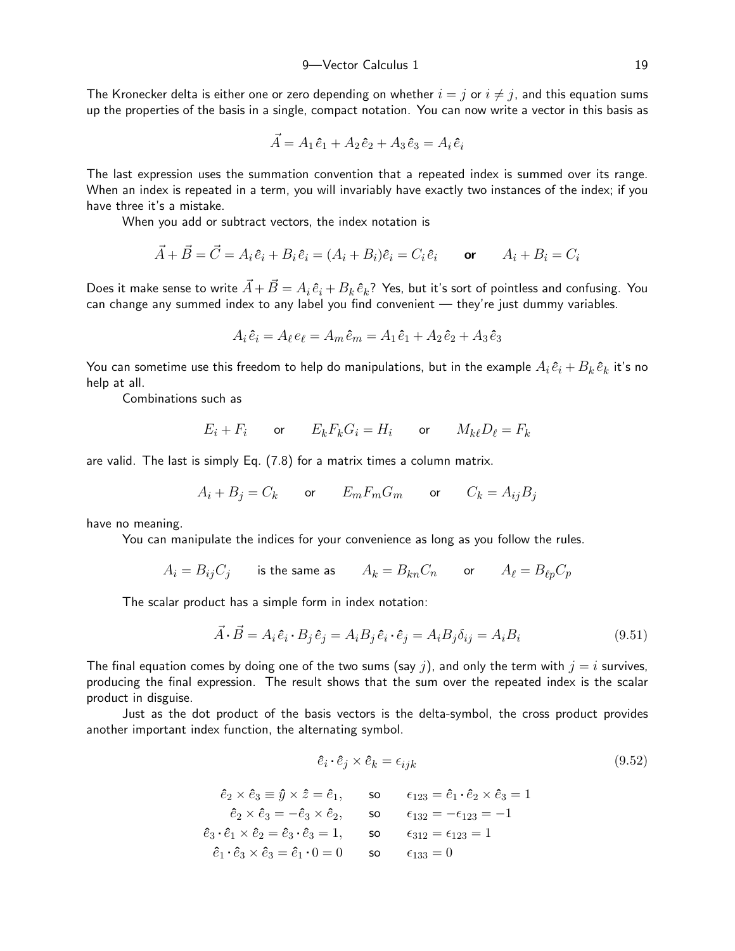The Kronecker delta is either one or zero depending on whether  $i = j$  or  $i \neq j$ , and this equation sums up the properties of the basis in a single, compact notation. You can now write a vector in this basis as

$$
\vec{A} = A_1 \hat{e}_1 + A_2 \hat{e}_2 + A_3 \hat{e}_3 = A_i \hat{e}_i
$$

The last expression uses the summation convention that a repeated index is summed over its range. When an index is repeated in a term, you will invariably have exactly two instances of the index; if you have three it's a mistake.

When you add or subtract vectors, the index notation is

$$
\vec{A} + \vec{B} = \vec{C} = A_i \hat{e}_i + B_i \hat{e}_i = (A_i + B_i)\hat{e}_i = C_i \hat{e}_i \quad \text{or} \quad A_i + B_i = C_i
$$

Does it make sense to write  $\vec{A}+\vec{B}=A_i\,\hat{e}_i+B_k\,\hat{e}_k$ ? Yes, but it's sort of pointless and confusing. You can change any summed index to any label you find convenient — they're just dummy variables.

$$
A_i \hat{e}_i = A_\ell e_\ell = A_m \hat{e}_m = A_1 \hat{e}_1 + A_2 \hat{e}_2 + A_3 \hat{e}_3
$$

You can sometime use this freedom to help do manipulations, but in the example  $A_i\,\widehat e_i + B_k\,\widehat e_k$  it's no help at all.

Combinations such as

$$
E_i + F_i \qquad \text{or} \qquad E_k F_k G_i = H_i \qquad \text{or} \qquad M_{k\ell} D_\ell = F_k
$$

are valid. The last is simply Eq. (7.8) for a matrix times a column matrix.

$$
A_i+B_j=C_k \qquad \text{or} \qquad E_mF_mG_m \qquad \text{or} \qquad C_k=A_{ij}B_j
$$

have no meaning.

You can manipulate the indices for your convenience as long as you follow the rules.

$$
A_i=B_{ij}C_j\qquad\text{is the same as}\qquad A_k=B_{kn}C_n\qquad\text{or}\qquad A_\ell=B_{\ell p}C_p
$$

The scalar product has a simple form in index notation:

$$
\vec{A} \cdot \vec{B} = A_i \hat{e}_i \cdot B_j \hat{e}_j = A_i B_j \hat{e}_i \cdot \hat{e}_j = A_i B_j \delta_{ij} = A_i B_i \tag{9.51}
$$

The final equation comes by doing one of the two sums (say j), and only the term with  $j = i$  survives, producing the final expression. The result shows that the sum over the repeated index is the scalar product in disguise.

Just as the dot product of the basis vectors is the delta-symbol, the cross product provides another important index function, the alternating symbol.

$$
\hat{e}_i \cdot \hat{e}_j \times \hat{e}_k = \epsilon_{ijk} \tag{9.52}
$$

$$
\begin{aligned}\n\hat{e}_2 \times \hat{e}_3 &\equiv \hat{y} \times \hat{z} = \hat{e}_1, & \text{so} & \epsilon_{123} &= \hat{e}_1 \cdot \hat{e}_2 \times \hat{e}_3 = 1 \\
\hat{e}_2 \times \hat{e}_3 &= -\hat{e}_3 \times \hat{e}_2, & \text{so} & \epsilon_{132} &= -\epsilon_{123} &= -1 \\
\hat{e}_3 \cdot \hat{e}_1 \times \hat{e}_2 &= \hat{e}_3 \cdot \hat{e}_3 = 1, & \text{so} & \epsilon_{312} &= \epsilon_{123} &= 1 \\
\hat{e}_1 \cdot \hat{e}_3 \times \hat{e}_3 &= \hat{e}_1 \cdot 0 &= 0 & \text{so} & \epsilon_{133} &= 0\n\end{aligned}
$$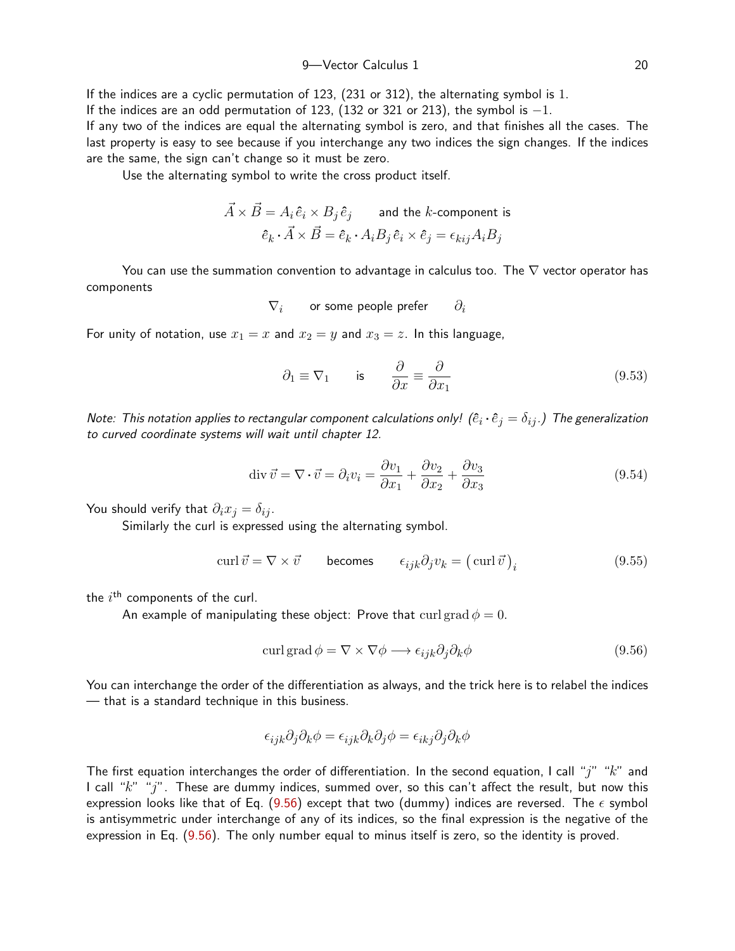9-Vector Calculus 1 20

If the indices are a cyclic permutation of 123, (231 or 312), the alternating symbol is 1. If the indices are an odd permutation of 123, (132 or 321 or 213), the symbol is  $-1$ . If any two of the indices are equal the alternating symbol is zero, and that finishes all the cases. The last property is easy to see because if you interchange any two indices the sign changes. If the indices are the same, the sign can't change so it must be zero.

Use the alternating symbol to write the cross product itself.

$$
\vec{A} \times \vec{B} = A_i \hat{e}_i \times B_j \hat{e}_j
$$
 and the *k*-component is  

$$
\hat{e}_k \cdot \vec{A} \times \vec{B} = \hat{e}_k \cdot A_i B_j \hat{e}_i \times \hat{e}_j = \epsilon_{kij} A_i B_j
$$

You can use the summation convention to advantage in calculus too. The  $\nabla$  vector operator has components

$$
\nabla_i \qquad \text{or some people prefer} \qquad \partial_i
$$

For unity of notation, use  $x_1 = x$  and  $x_2 = y$  and  $x_3 = z$ . In this language,

$$
\partial_1 \equiv \nabla_1
$$
 is  $\frac{\partial}{\partial x} \equiv \frac{\partial}{\partial x_1}$  (9.53)

Note: This notation applies to rectangular component calculations only!  $(\hat{e}_i\cdot\hat{e}_j=\delta_{ij}.)$  The generalization to curved coordinate systems will wait until chapter 12.

$$
\operatorname{div} \vec{v} = \nabla \cdot \vec{v} = \partial_i v_i = \frac{\partial v_1}{\partial x_1} + \frac{\partial v_2}{\partial x_2} + \frac{\partial v_3}{\partial x_3}
$$
(9.54)

You should verify that  $\partial_i x_j = \delta_{ij}$ .

Similarly the curl is expressed using the alternating symbol.

$$
\operatorname{curl} \vec{v} = \nabla \times \vec{v} \qquad \text{becomes} \qquad \epsilon_{ijk} \partial_j v_k = (\operatorname{curl} \vec{v})_i \tag{9.55}
$$

the  $i^{\text{th}}$  components of the curl.

An example of manipulating these object: Prove that curl grad  $\phi = 0$ .

<span id="page-19-0"></span>
$$
\operatorname{curl}\operatorname{grad}\phi = \nabla \times \nabla \phi \longrightarrow \epsilon_{ijk}\partial_j\partial_k\phi \tag{9.56}
$$

You can interchange the order of the differentiation as always, and the trick here is to relabel the indices — that is a standard technique in this business.

$$
\epsilon_{ijk}\partial_j\partial_k\phi = \epsilon_{ijk}\partial_k\partial_j\phi = \epsilon_{ikj}\partial_j\partial_k\phi
$$

The first equation interchanges the order of differentiation. In the second equation, I call "j" " $k$ " and I call " $k$ " "j". These are dummy indices, summed over, so this can't affect the result, but now this expression looks like that of Eq. ([9.56](#page-19-0)) except that two (dummy) indices are reversed. The  $\epsilon$  symbol is antisymmetric under interchange of any of its indices, so the final expression is the negative of the expression in Eq. ([9.56](#page-19-0)). The only number equal to minus itself is zero, so the identity is proved.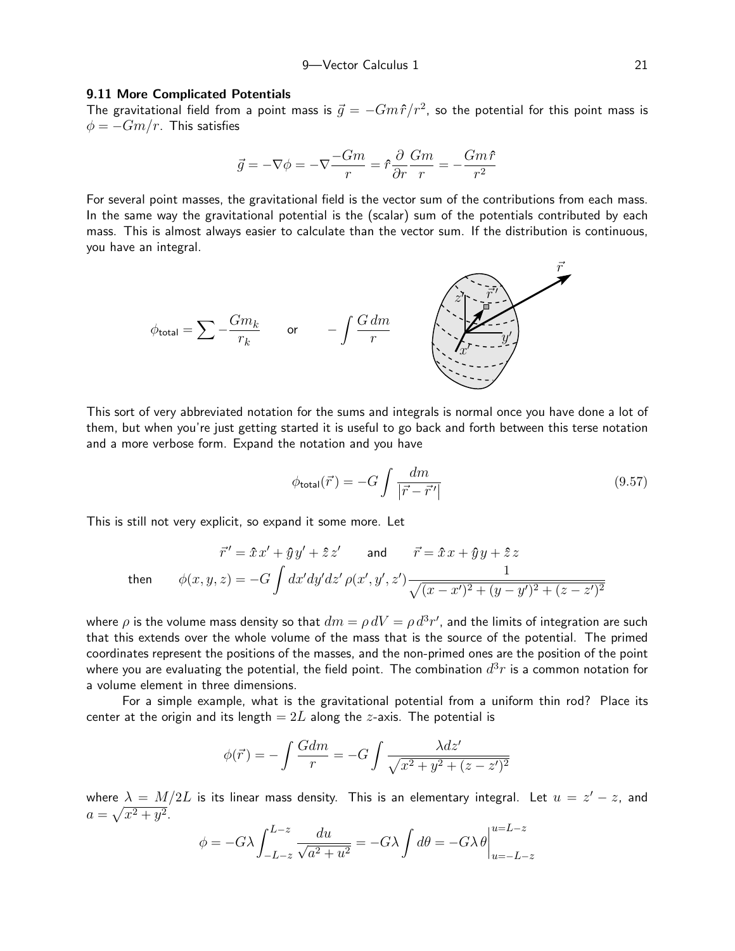#### 9.11 More Complicated Potentials

The gravitational field from a point mass is  $\vec{g} = -Gm\hat{r}/r^2$ , so the potential for this point mass is  $\phi = -Gm/r$ . This satisfies

$$
\vec{g}=-\nabla\phi=-\nabla\frac{-Gm}{r}=\hat{r}\frac{\partial}{\partial r}\frac{Gm}{r}=-\frac{Gm\,\hat{r}}{r^2}
$$

For several point masses, the gravitational field is the vector sum of the contributions from each mass. In the same way the gravitational potential is the (scalar) sum of the potentials contributed by each mass. This is almost always easier to calculate than the vector sum. If the distribution is continuous, you have an integral.



This sort of very abbreviated notation for the sums and integrals is normal once you have done a lot of them, but when you're just getting started it is useful to go back and forth between this terse notation and a more verbose form. Expand the notation and you have

$$
\phi_{\text{total}}(\vec{r}) = -G \int \frac{dm}{|\vec{r} - \vec{r}'|} \tag{9.57}
$$

This is still not very explicit, so expand it some more. Let

$$
\vec{r}' = \hat{x}x' + \hat{y}y' + \hat{z}z' \quad \text{and} \quad \vec{r} = \hat{x}x + \hat{y}y + \hat{z}z
$$
  
then 
$$
\phi(x, y, z) = -G \int dx'dy'dz' \rho(x', y', z') \frac{1}{\sqrt{(x - x')^2 + (y - y')^2 + (z - z')^2}}
$$

where  $\rho$  is the volume mass density so that  $dm = \rho\, dV = \rho\, d^3r'$ , and the limits of integration are such that this extends over the whole volume of the mass that is the source of the potential. The primed coordinates represent the positions of the masses, and the non-primed ones are the position of the point where you are evaluating the potential, the field point. The combination  $d^3r$  is a common notation for a volume element in three dimensions.

For a simple example, what is the gravitational potential from a uniform thin rod? Place its center at the origin and its length  $= 2L$  along the *z*-axis. The potential is

$$
\phi(\vec{r}) = -\int \frac{Gdm}{r} = -G \int \frac{\lambda dz'}{\sqrt{x^2 + y^2 + (z - z')^2}}
$$

where  $\lambda\,=\,M/2L$  is its linear mass density. This is an elementary integral. Let  $\,u\,=\,z^\prime - z,\,$  and  $a = \sqrt{x^2 + y^2}.$ 

$$
\phi = -G\lambda \int_{-L-z}^{L-z} \frac{du}{\sqrt{a^2 + u^2}} = -G\lambda \int d\theta = -G\lambda \theta \Big|_{u=-L-z}^{u=L-z}
$$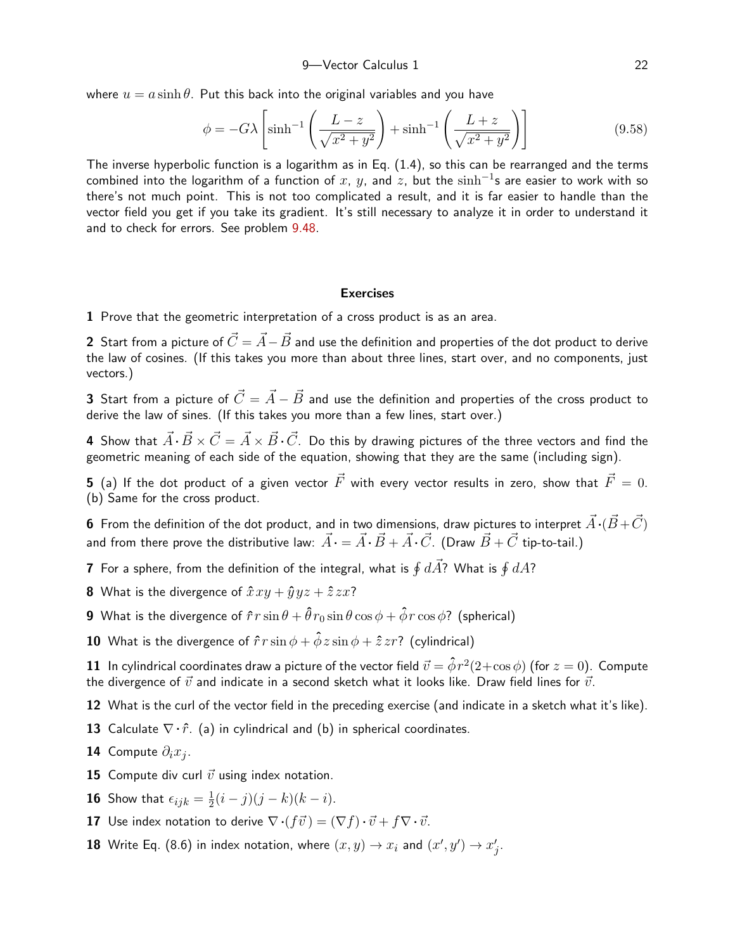where  $u = a \sinh \theta$ . Put this back into the original variables and you have

$$
\phi = -G\lambda \left[ \sinh^{-1} \left( \frac{L-z}{\sqrt{x^2 + y^2}} \right) + \sinh^{-1} \left( \frac{L+z}{\sqrt{x^2 + y^2}} \right) \right]
$$
(9.58)

The inverse hyperbolic function is a logarithm as in Eq. (1.4), so this can be rearranged and the terms combined into the logarithm of a function of  $x,~y,$  and  $z,~\mathrm{but~the~sinh^{-1}}$ s are easier to work with so there's not much point. This is not too complicated a result, and it is far easier to handle than the vector field you get if you take its gradient. It's still necessary to analyze it in order to understand it and to check for errors. See problem [9.48](#page-27-0).

## <span id="page-21-0"></span>**Exercises**

1 Prove that the geometric interpretation of a cross product is as an area.

2 Start from a picture of  $\vec{C} = \vec{A} - \vec{B}$  and use the definition and properties of the dot product to derive the law of cosines. (If this takes you more than about three lines, start over, and no components, just vectors.)

3 Start from a picture of  $\vec{C} = \vec{A} - \vec{B}$  and use the definition and properties of the cross product to derive the law of sines. (If this takes you more than a few lines, start over.)

4 Show that  $\vec{A} \cdot \vec{B} \times \vec{C} = \vec{A} \times \vec{B} \cdot \vec{C}$ . Do this by drawing pictures of the three vectors and find the geometric meaning of each side of the equation, showing that they are the same (including sign).

5 (a) If the dot product of a given vector  $\vec{F}$  with every vector results in zero, show that  $\vec{F} = 0$ . (b) Same for the cross product.

6 From the definition of the dot product, and in two dimensions, draw pictures to interpret  $\vec{A} \cdot (\vec{B} + \vec{C})$ and from there prove the distributive law:  $\vec{A} \cdot = \vec{A} \cdot \vec{B} + \vec{A} \cdot \vec{C}$ . (Draw  $\vec{B} + \vec{C}$  tip-to-tail.)

**7** For a sphere, from the definition of the integral, what is  $\oint d\vec{A}$ ? What is  $\oint dA$ ?

**8** What is the divergence of  $\hat{x}xy + \hat{y}yz + \hat{z}zx$ ?

9 What is the divergence of  $\hat{r}r\sin\theta + \hat{\theta}r_0\sin\theta\cos\phi + \hat{\phi}r\cos\phi$ ? (spherical)

**10** What is the divergence of  $\hat{r}r\sin\phi + \hat{\phi}z\sin\phi + \hat{z}zr$ ? (cylindrical)

 ${\bf 11}\;$  In cylindrical coordinates draw a picture of the vector field  $\vec v = \hat\phi\,r^2(2+\cos\phi)$  (for  $z=0)$ . Compute the divergence of  $\vec{v}$  and indicate in a second sketch what it looks like. Draw field lines for  $\vec{v}$ .

12 What is the curl of the vector field in the preceding exercise (and indicate in a sketch what it's like).

13 Calculate  $\nabla \cdot \hat{r}$ . (a) in cylindrical and (b) in spherical coordinates.

**14** Compute  $\partial_i x_j$ .

15 Compute div curl  $\vec{v}$  using index notation.

 ${\bf 16}$  Show that  $\epsilon_{ijk}=\frac{1}{2}$  $\frac{1}{2}(i-j)(j-k)(k-i).$ 

**17** Use index notation to derive  $\nabla \cdot (f\vec{v}) = (\nabla f) \cdot \vec{v} + f \nabla \cdot \vec{v}$ .

**18** Write Eq. (8.6) in index notation, where  $(x, y) \rightarrow x_i$  and  $(x', y') \rightarrow x'_j$ .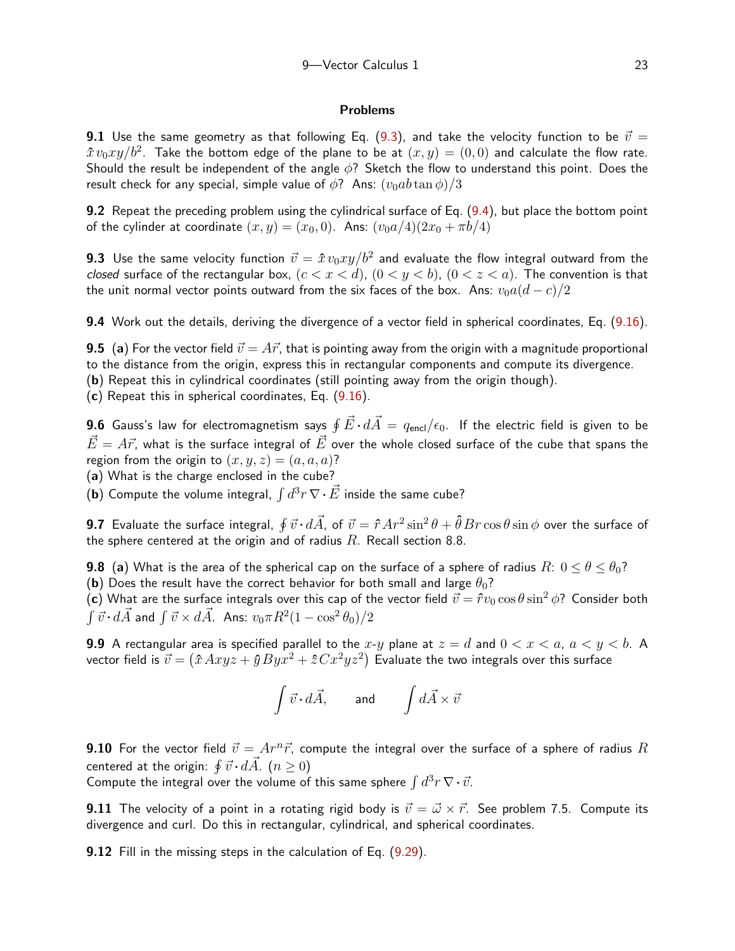## Problems

9.1 Use the same geometry as that following Eq. ([9.3\)](#page-1-0), and take the velocity function to be  $\vec{v} =$  $\hat{x}\,v_0xy/b^2.$  Take the bottom edge of the plane to be at  $(x,y)=(0,0)$  and calculate the flow rate. Should the result be independent of the angle  $\phi$ ? Sketch the flow to understand this point. Does the result check for any special, simple value of  $\phi$ ? Ans:  $(v_0ab\tan\phi)/3$ 

9.2 Repeat the preceding problem using the cylindrical surface of Eq. ([9.4\)](#page-2-0), but place the bottom point of the cylinder at coordinate  $(x, y) = (x_0, 0)$ . Ans:  $(v_0a/4)(2x_0 + \pi b/4)$ 

<span id="page-22-1"></span>**9.3** Use the same velocity function  $\vec{v} = \hat{x}\,v_0xy/b^2$  and evaluate the flow integral outward from the closed surface of the rectangular box,  $(c < x < d)$ ,  $(0 < y < b)$ ,  $(0 < z < a)$ . The convention is that the unit normal vector points outward from the six faces of the box. Ans:  $v_0a(d-c)/2$ 

<span id="page-22-0"></span>9.4 Work out the details, deriving the divergence of a vector field in spherical coordinates, Eq. ([9.16](#page-9-1)).

**9.5** (a) For the vector field  $\vec{v} = A\vec{r}$ , that is pointing away from the origin with a magnitude proportional to the distance from the origin, express this in rectangular components and compute its divergence.

(b) Repeat this in cylindrical coordinates (still pointing away from the origin though).

(c) Repeat this in spherical coordinates, Eq. ([9.16](#page-9-1)).

**9.6** Gauss's law for electromagnetism says  $\oint \vec{E}\cdot d\vec{A} = q_{\sf encl}/\epsilon_0$ . If the electric field is given to be  $\vec{E} = A\vec{r}$ , what is the surface integral of  $\vec{E}$  over the whole closed surface of the cube that spans the region from the origin to  $(x, y, z) = (a, a, a)$ ?

(a) What is the charge enclosed in the cube?

(b) Compute the volume integral,  $\int d^3r \, \nabla \cdot \vec{E}$  inside the same cube?

**9.7** Evaluate the surface integral,  $\oint \vec{v}\cdot d\vec{A}$ , of  $\vec{v}=\hat{r}\,Ar^2\sin^2\theta+\hat{\theta}\,Br\cos\theta\sin\phi$  over the surface of the sphere centered at the origin and of radius  $R$ . Recall section 8.8.

**9.8** (a) What is the area of the spherical cap on the surface of a sphere of radius  $R: 0 \le \theta \le \theta_0$ ? (b) Does the result have the correct behavior for both small and large  $\theta_0$ ?

(c) What are the surface integrals over this cap of the vector field  $\vec{v} = \hat{r}v_0 \cos\theta \sin^2\phi$ ? Consider both  $\int\vec{v}\cdot d\vec{A}$  and  $\int\vec{v}\times d\vec{A}$ . Ans:  $v_0\pi R^2(1-\cos^2\theta_0)/2$ 

**9.9** A rectangular area is specified parallel to the x-y plane at  $z = d$  and  $0 < x < a$ ,  $a < y < b$ . A vector field is  $\vec{v} = (\hat{x} \, A x y z + \hat{y} \, B y x^2 + \hat{z} \, C x^2 y z^2)$  Evaluate the two integrals over this surface

$$
\int \vec{v} \cdot d\vec{A}, \qquad \text{and} \qquad \int d\vec{A} \times \vec{v}
$$

**9.10** For the vector field  $\vec{v} = Ar^n\vec{r}$ , compute the integral over the surface of a sphere of radius R centered at the origin:  $\oint \vec{v} \cdot d\vec{A}$ .  $(n \geq 0)$ 

Compute the integral over the volume of this same sphere  $\int d^3r \, \nabla \cdot \vec{v}$ .

**9.11** The velocity of a point in a rotating rigid body is  $\vec{v} = \vec{\omega} \times \vec{r}$ . See problem 7.5. Compute its divergence and curl. Do this in rectangular, cylindrical, and spherical coordinates.

9.12 Fill in the missing steps in the calculation of Eq. ([9.29](#page-11-1)).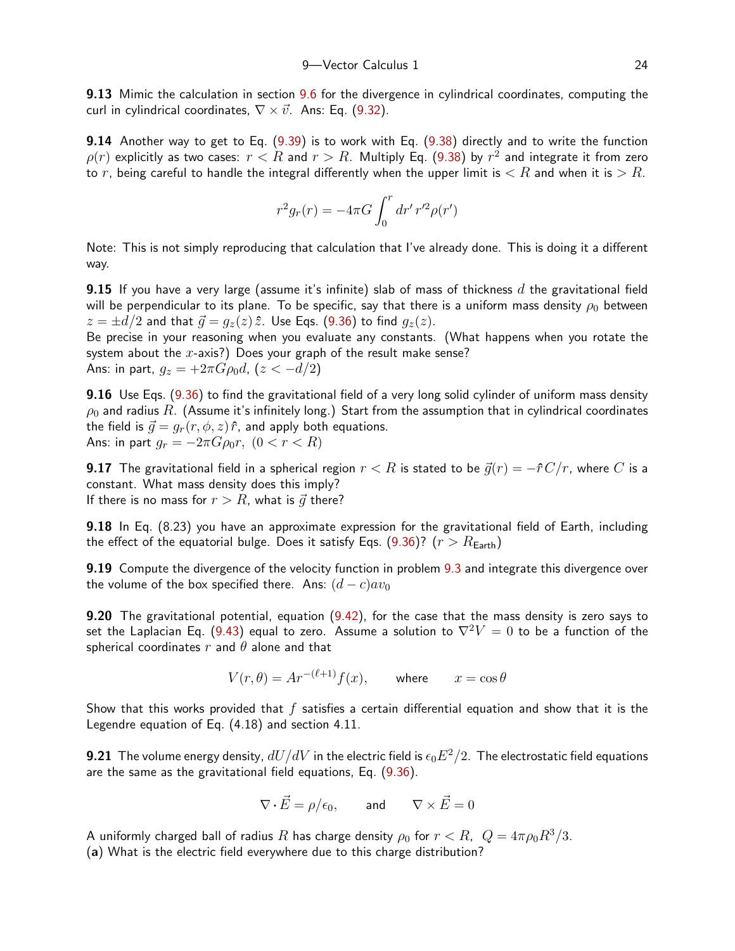**9.13** Mimic the calculation in section [9.6](#page-11-2) for the divergence in cylindrical coordinates, computing the curl in cylindrical coordinates,  $\nabla \times \vec{v}$ . Ans: Eq. ([9.32](#page-12-3)).

<span id="page-23-0"></span>9.14 Another way to get to Eq. [\(9.39](#page-14-1)) is to work with Eq. [\(9.38](#page-13-0)) directly and to write the function  $\rho(r)$  explicitly as two cases:  $r < R$  and  $r > R$ . Multiply Eq. ([9.38](#page-13-0)) by  $r^2$  and integrate it from zero to r, being careful to handle the integral differently when the upper limit is  $\langle R \rangle$  and when it is  $\langle R \rangle$ .

$$
r^2 g_r(r) = -4\pi G \int_0^r dr' \, r'^2 \rho(r')
$$

Note: This is not simply reproducing that calculation that I've already done. This is doing it a different way.

**9.15** If you have a very large (assume it's infinite) slab of mass of thickness  $d$  the gravitational field will be perpendicular to its plane. To be specific, say that there is a uniform mass density  $\rho_0$  between  $z = \pm d/2$  and that  $\vec{g} = g_z(z)\hat{z}$ . Use Eqs. ([9.36](#page-12-1)) to find  $g_z(z)$ .

Be precise in your reasoning when you evaluate any constants. (What happens when you rotate the system about the  $x$ -axis?) Does your graph of the result make sense? Ans: in part,  $g_z = +2\pi G \rho_0 d$ ,  $(z < -d/2)$ 

**9.16** Use Eqs. ([9.36](#page-12-1)) to find the gravitational field of a very long solid cylinder of uniform mass density  $\rho_0$  and radius R. (Assume it's infinitely long.) Start from the assumption that in cylindrical coordinates the field is  $\vec{q} = q_r(r, \phi, z)\hat{r}$ , and apply both equations. Ans: in part  $q_r = -2\pi G \rho_0 r$ ,  $(0 < r < R)$ 

**9.17** The gravitational field in a spherical region  $r < R$  is stated to be  $\vec{g}(r) = -\hat{r}C/r$ , where C is a constant. What mass density does this imply? If there is no mass for  $r > R$ , what is  $\vec{q}$  there?

9.18 In Eq. (8.23) you have an approximate expression for the gravitational field of Earth, including the effect of the equatorial bulge. Does it satisfy Eqs. [\(9.36](#page-12-1))?  $(r > R_{\text{Earth}})$ 

9.19 Compute the divergence of the velocity function in problem [9.3](#page-22-1) and integrate this divergence over the volume of the box specified there. Ans:  $(d - c)av_0$ 

**9.20** The gravitational potential, equation ([9.42](#page-14-0)), for the case that the mass density is zero says to set the Laplacian Eq. ([9.43](#page-15-4)) equal to zero. Assume a solution to  $\nabla^2 V = 0$  to be a function of the spherical coordinates  $r$  and  $\theta$  alone and that

$$
V(r, \theta) = Ar^{-(\ell+1)}f(x), \qquad \text{where} \qquad x = \cos \theta
$$

Show that this works provided that  $f$  satisfies a certain differential equation and show that it is the Legendre equation of Eq. (4.18) and section 4.11.

**9.21** The volume energy density,  $dU/dV$  in the electric field is  $\epsilon_0E^2/2$ . The electrostatic field equations are the same as the gravitational field equations, Eq. ([9.36](#page-12-1)).

$$
\nabla \cdot \vec{E} = \rho/\epsilon_0, \qquad \text{and} \qquad \nabla \times \vec{E} = 0
$$

A uniformly charged ball of radius R has charge density  $\rho_0$  for  $r < R$ ,  $Q = 4\pi \rho_0 R^3/3$ . (a) What is the electric field everywhere due to this charge distribution?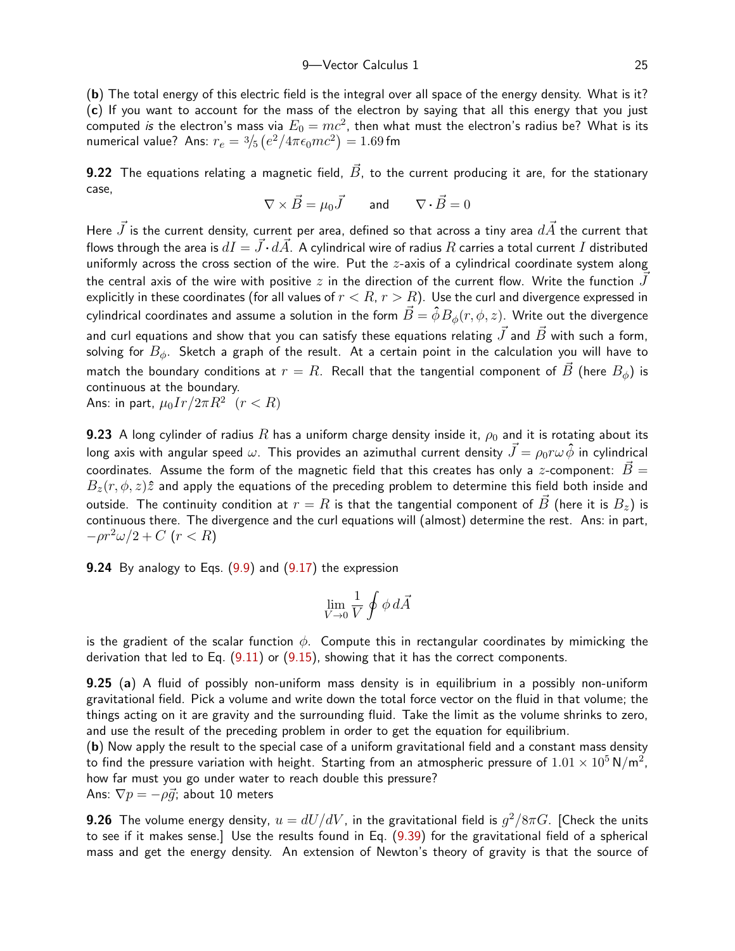(b) The total energy of this electric field is the integral over all space of the energy density. What is it? (c) If you want to account for the mass of the electron by saying that all this energy that you just computed *is* the electron's mass via  $E_0 = mc^2$ , then what must the electron's radius be? What is its numerical value? Ans:  $r_e = \frac{3}{5} \left( e^2/4 \pi \epsilon_0 m c^2 \right) = 1.69$  fm

<span id="page-24-0"></span>**9.22** The equations relating a magnetic field,  $\vec{B}$ , to the current producing it are, for the stationary case,

$$
\nabla \times \vec{B} = \mu_0 \vec{J} \qquad \text{and} \qquad \nabla \cdot \vec{B} = 0
$$

Here  $J$  is the current density, current per area, defined so that across a tiny area  $d\vec{A}$  the current that flows through the area is  $dI = \vec{J} \cdot d\vec{A}$ . A cylindrical wire of radius  $R$  carries a total current  $I$  distributed uniformly across the cross section of the wire. Put the  $z$ -axis of a cylindrical coordinate system along the central axis of the wire with positive z in the direction of the current flow. Write the function  $J~$ explicitly in these coordinates (for all values of  $r < R$ ,  $r > R$ ). Use the curl and divergence expressed in cylindrical coordinates and assume a solution in the form  $\vec{B}=\hat{\phi}B_\phi(r,\phi,z)$ . Write out the divergence and curl equations and show that you can satisfy these equations relating  $\vec{J}$  and  $\vec{B}$  with such a form, solving for  $B_{\phi}$ . Sketch a graph of the result. At a certain point in the calculation you will have to match the boundary conditions at  $r = R$ . Recall that the tangential component of  $\vec{B}$  (here  $B_{\phi}$ ) is continuous at the boundary.

Ans: in part,  $\mu_0 Ir/2\pi R^2$   $(r < R)$ 

9.23 A long cylinder of radius R has a uniform charge density inside it,  $\rho_0$  and it is rotating about its long axis with angular speed  $\omega$ . This provides an azimuthal current density  $\vec{J} = \rho_0 r \omega \hat{\phi}$  in cylindrical coordinates. Assume the form of the magnetic field that this creates has only a z-component:  $\vec{B}$  =  $B_z(r, \phi, z)\hat{z}$  and apply the equations of the preceding problem to determine this field both inside and outside. The continuity condition at  $r = R$  is that the tangential component of  $\vec{B}$  (here it is  $B_z$ ) is continuous there. The divergence and the curl equations will (almost) determine the rest. Ans: in part,  $-\rho r^2 \omega/2 + C$  ( $r < R$ )

**9.24** By analogy to Eqs.  $(9.9)$  and  $(9.17)$  $(9.17)$  $(9.17)$  the expression

$$
\lim_{V\to 0}\frac{1}{V}\oint \phi\, d\vec{A}
$$

is the gradient of the scalar function  $\phi$ . Compute this in rectangular coordinates by mimicking the derivation that led to Eq. [\(9.11](#page-7-1)) or [\(9.15](#page-8-1)), showing that it has the correct components.

9.25 (a) A fluid of possibly non-uniform mass density is in equilibrium in a possibly non-uniform gravitational field. Pick a volume and write down the total force vector on the fluid in that volume; the things acting on it are gravity and the surrounding fluid. Take the limit as the volume shrinks to zero, and use the result of the preceding problem in order to get the equation for equilibrium.

(b) Now apply the result to the special case of a uniform gravitational field and a constant mass density to find the pressure variation with height. Starting from an atmospheric pressure of  $1.01\times10^5$  N/m $^2$ , how far must you go under water to reach double this pressure? Ans:  $\nabla p = -\rho \vec{q}$ ; about 10 meters

**9.26** The volume energy density,  $u=dU/dV$ , in the gravitational field is  $g^2/8\pi G$ . [Check the units to see if it makes sense.] Use the results found in Eq. ([9.39](#page-14-1)) for the gravitational field of a spherical mass and get the energy density. An extension of Newton's theory of gravity is that the source of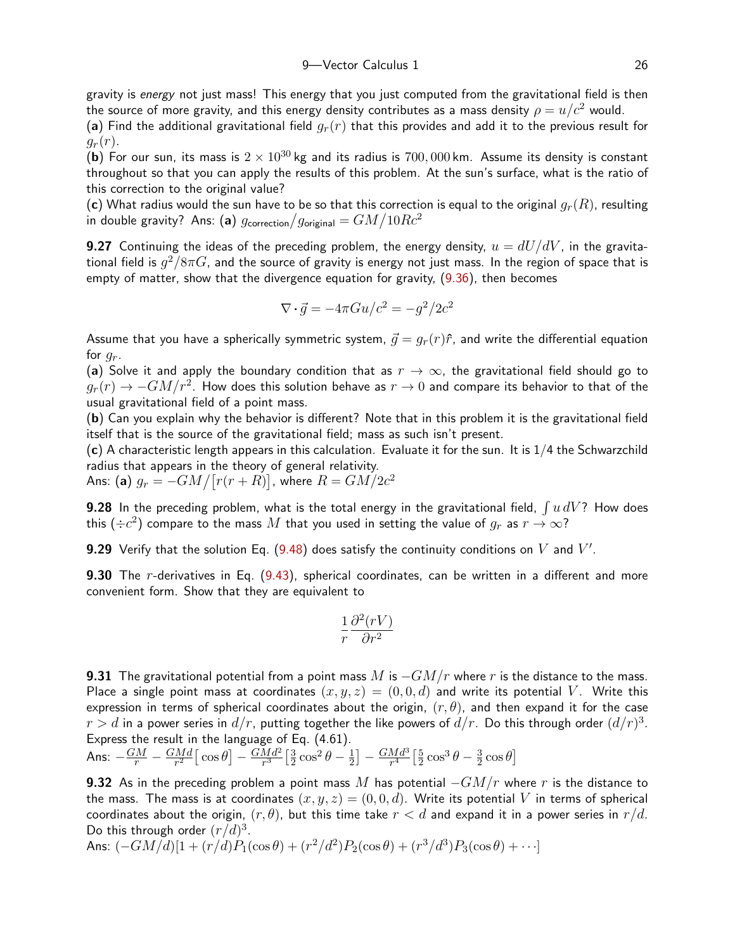gravity is energy not just mass! This energy that you just computed from the gravitational field is then the source of more gravity, and this energy density contributes as a mass density  $\rho = u/c^2$  would.

(a) Find the additional gravitational field  $q_r(r)$  that this provides and add it to the previous result for  $q_r(r)$ .

(b) For our sun, its mass is  $2 \times 10^{30}$  kg and its radius is 700, 000 km. Assume its density is constant throughout so that you can apply the results of this problem. At the sun's surface, what is the ratio of this correction to the original value?

(c) What radius would the sun have to be so that this correction is equal to the original  $g_r(R)$ , resulting in double gravity? Ans: (a)  $g_{\sf correction}/g_{\sf original} = GM/10Rc^2$ 

**9.27** Continuing the ideas of the preceding problem, the energy density,  $u = dU/dV$ , in the gravitational field is  $g^2/8\pi G$ , and the source of gravity is energy not just mass. In the region of space that is empty of matter, show that the divergence equation for gravity, ([9.36](#page-12-1)), then becomes

$$
\nabla \cdot \vec{g} = -4\pi G u/c^2 = -g^2/2c^2
$$

Assume that you have a spherically symmetric system,  $\vec{q} = q_r(r)\hat{r}$ , and write the differential equation for  $q_r$ .

(a) Solve it and apply the boundary condition that as  $r \to \infty$ , the gravitational field should go to  $g_r(r)\to -GM/r^2.$  How does this solution behave as  $r\to 0$  and compare its behavior to that of the usual gravitational field of a point mass.

(b) Can you explain why the behavior is different? Note that in this problem it is the gravitational field itself that is the source of the gravitational field; mass as such isn't present.

(c) A characteristic length appears in this calculation. Evaluate it for the sun. It is  $1/4$  the Schwarzchild radius that appears in the theory of general relativity.

Ans: (a)  $g_r = - G M / [r(r+R)]$ , where  $R = G M / 2 c^2$ 

**9.28** In the preceding problem, what is the total energy in the gravitational field,  $\int u \, dV$ ? How does this  $(\div c^2)$  compare to the mass  $M$  that you used in setting the value of  $g_r$  as  $r\rightarrow\infty$ ?

**9.29** Verify that the solution Eq. ([9.48](#page-16-0)) does satisfy the continuity conditions on  $V$  and  $V'$ .

**9.30** The r-derivatives in Eq. [\(9.43](#page-15-4)), spherical coordinates, can be written in a different and more convenient form. Show that they are equivalent to

$$
\frac{1}{r}\frac{\partial^2 (rV)}{\partial r^2}
$$

<span id="page-25-0"></span>**9.31** The gravitational potential from a point mass M is  $-GM/r$  where r is the distance to the mass. Place a single point mass at coordinates  $(x, y, z) = (0, 0, d)$  and write its potential V. Write this expression in terms of spherical coordinates about the origin,  $(r, \theta)$ , and then expand it for the case  $r>d$  in a power series in  $d/r$ , putting together the like powers of  $d/r$ . Do this through order  $(d/r)^3$ . Express the result in the language of Eq. (4.61).

Ans:  $-\frac{GM}{r}-\frac{GMd}{r^2}$  $\frac{d^{2}M d}{r^{2}}\left[\,\cos\theta\right]\,-\,\frac{G M d^{2}}{r^{3}}$  $\frac{Md^2}{r^3} \Big[\frac{3}{2}$  $\frac{3}{2}\cos^2\theta - \frac{1}{2}$  $\left[\frac{1}{2}\right]-\frac{GMd^3}{r^4}$  $\frac{Md^3}{r^4} \Big[\frac{5}{2}$  $\frac{5}{2}\cos^3\theta - \frac{3}{2}$  $\frac{3}{2}\cos\theta$ 

**9.32** As in the preceding problem a point mass M has potential  $-GM/r$  where r is the distance to the mass. The mass is at coordinates  $(x, y, z) = (0, 0, d)$ . Write its potential V in terms of spherical coordinates about the origin,  $(r, \theta)$ , but this time take  $r < d$  and expand it in a power series in  $r/d$ . Do this through order  $(r/d)^3$ .

Ans: 
$$
(-GM/d)[1 + (r/d)P_1(\cos\theta) + (r^2/d^2)P_2(\cos\theta) + (r^3/d^3)P_3(\cos\theta) + \cdots]
$$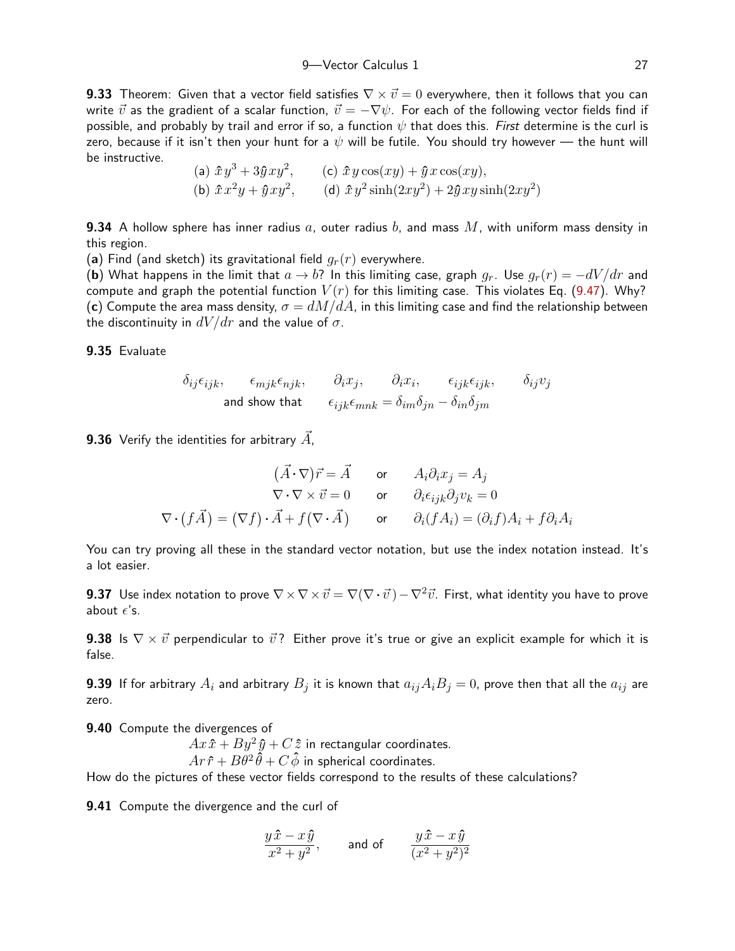9<sup>-</sup>Vector Calculus 1 27

**9.33** Theorem: Given that a vector field satisfies  $\nabla \times \vec{v} = 0$  everywhere, then it follows that you can write  $\vec{v}$  as the gradient of a scalar function,  $\vec{v} = -\nabla \psi$ . For each of the following vector fields find if possible, and probably by trail and error if so, a function  $\psi$  that does this. First determine is the curl is zero, because if it isn't then your hunt for a  $\psi$  will be futile. You should try however — the hunt will be instructive.

(a) 
$$
\hat{x}y^3 + 3\hat{y}xy^2
$$
, (c)  $\hat{x}y\cos(xy) + \hat{y}x\cos(xy)$ ,  
(b)  $\hat{x}x^2y + \hat{y}xy^2$ , (d)  $\hat{x}y^2\sinh(2xy^2) + 2\hat{y}xy\sinh(2xy^2)$ 

**9.34** A hollow sphere has inner radius a, outer radius b, and mass  $M$ , with uniform mass density in this region.

(a) Find (and sketch) its gravitational field  $q_r(r)$  everywhere.

(b) What happens in the limit that  $a \to b$ ? In this limiting case, graph  $g_r$ . Use  $g_r(r) = -dV/dr$  and compute and graph the potential function  $V(r)$  for this limiting case. This violates Eq. [\(9.47](#page-15-3)). Why? (c) Compute the area mass density,  $\sigma = dM/dA$ , in this limiting case and find the relationship between the discontinuity in  $dV/dr$  and the value of  $\sigma$ .

9.35 Evaluate

$$
\delta_{ij}\epsilon_{ijk}, \qquad \epsilon_{mjk}\epsilon_{njk}, \qquad \partial_i x_j, \qquad \partial_i x_i, \qquad \epsilon_{ijk}\epsilon_{ijk}, \qquad \delta_{ij} v_j
$$
\nand show that

\n
$$
\epsilon_{ijk}\epsilon_{mnk} = \delta_{im}\delta_{jn} - \delta_{in}\delta_{jm}
$$

**9.36** Verify the identities for arbitrary  $\overrightarrow{A}$ ,

$$
(\vec{A} \cdot \nabla)\vec{r} = \vec{A} \quad \text{or} \quad A_i \partial_i x_j = A_j
$$
  
\n
$$
\nabla \cdot \nabla \times \vec{v} = 0 \quad \text{or} \quad \partial_i \epsilon_{ijk} \partial_j v_k = 0
$$
  
\n
$$
\nabla \cdot (f\vec{A}) = (\nabla f) \cdot \vec{A} + f(\nabla \cdot \vec{A}) \quad \text{or} \quad \partial_i (f A_i) = (\partial_i f) A_i + f \partial_i A_i
$$

You can try proving all these in the standard vector notation, but use the index notation instead. It's a lot easier.

**9.37** Use index notation to prove  $\nabla \times \nabla \times \vec{v} = \nabla(\nabla \cdot \vec{v}) - \nabla^2 \vec{v}$ . First, what identity you have to prove about  $\epsilon$ 's.

**9.38** Is  $\nabla \times \vec{v}$  perpendicular to  $\vec{v}$ ? Either prove it's true or give an explicit example for which it is false.

**9.39** If for arbitrary  $A_i$  and arbitrary  $B_j$  it is known that  $a_{ij}A_iB_j=0$ , prove then that all the  $a_{ij}$  are zero.

9.40 Compute the divergences of

 $Ax\hat{x} + By^2\hat{y} + C\hat{z}$  in rectangular coordinates.  $Ar \hat{r} + B\theta^2 \hat{\theta} + C\hat{\phi}$  in spherical coordinates.

How do the pictures of these vector fields correspond to the results of these calculations?

9.41 Compute the divergence and the curl of

$$
\frac{y\hat{x} - x\hat{y}}{x^2 + y^2}, \qquad \text{and of} \qquad \frac{y\hat{x} - x\hat{y}}{(x^2 + y^2)^2}
$$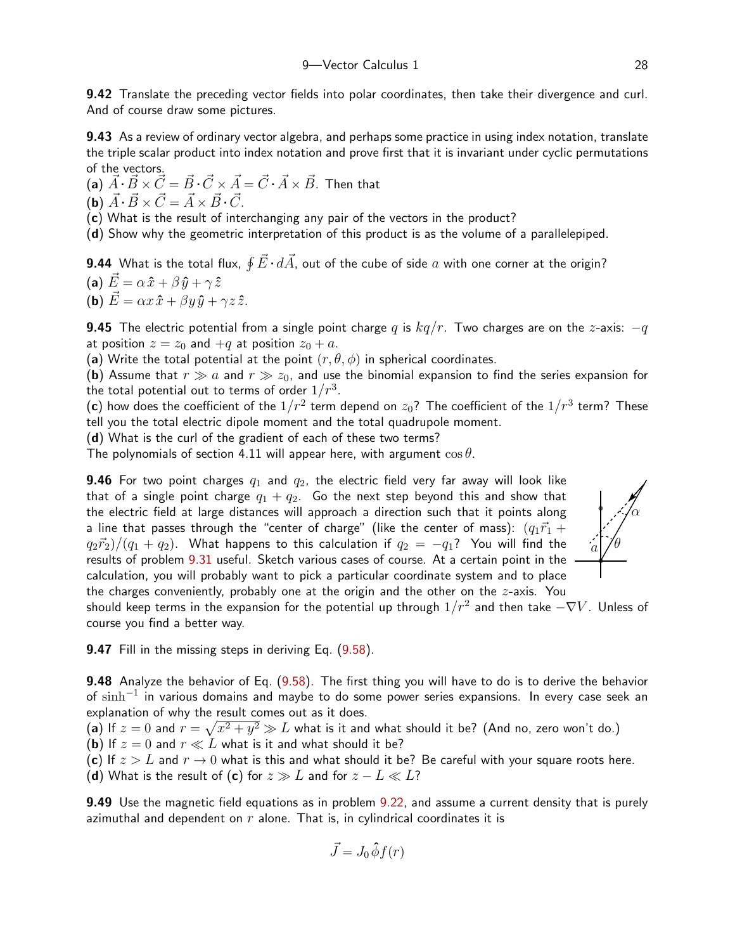9.42 Translate the preceding vector fields into polar coordinates, then take their divergence and curl. And of course draw some pictures.

9.43 As a review of ordinary vector algebra, and perhaps some practice in using index notation, translate the triple scalar product into index notation and prove first that it is invariant under cyclic permutations of the vectors.

(a)  $\vec{A} \cdot \vec{B} \times \vec{C} = \vec{B} \cdot \vec{C} \times \vec{A} = \vec{C} \cdot \vec{A} \times \vec{B}$ . Then that (b)  $\vec{A} \cdot \vec{B} \times \vec{C} = \vec{A} \times \vec{B} \cdot \vec{C}$ .

(c) What is the result of interchanging any pair of the vectors in the product?

(d) Show why the geometric interpretation of this product is as the volume of a parallelepiped.

**9.44** What is the total flux,  $\oint \vec{E}\cdot d\vec{A}$ , out of the cube of side  $a$  with one corner at the origin?

(a) 
$$
\vec{E} = \alpha \hat{x} + \beta \hat{y} + \gamma \hat{z}
$$
  
\n(b)  $\vec{E} = \alpha x \hat{x} + \beta y \hat{y} + \gamma z \hat{z}$ .

**9.45** The electric potential from a single point charge q is  $kq/r$ . Two charges are on the z-axis:  $-q$ at position  $z = z_0$  and  $+q$  at position  $z_0 + a$ .

(a) Write the total potential at the point  $(r, \theta, \phi)$  in spherical coordinates.

(b) Assume that  $r \gg a$  and  $r \gg z_0$ , and use the binomial expansion to find the series expansion for the total potential out to terms of order  $1/r^3.$ 

 $({\bf c})$  how does the coefficient of the  $1/r^2$  term depend on  $z_0?$  The coefficient of the  $1/r^3$  term? These tell you the total electric dipole moment and the total quadrupole moment.

(d) What is the curl of the gradient of each of these two terms?

The polynomials of section 4.11 will appear here, with argument  $\cos \theta$ .

**9.46** For two point charges  $q_1$  and  $q_2$ , the electric field very far away will look like that of a single point charge  $q_1 + q_2$ . Go the next step beyond this and show that the electric field at large distances will approach a direction such that it points along a line that passes through the "center of charge" (like the center of mass):  $(q_1\vec{r}_1 +$  $(q_2\vec{r}_2)/(q_1 + q_2)$ . What happens to this calculation if  $q_2 = -q_1$ ? You will find the results of problem [9.31](#page-25-0) useful. Sketch various cases of course. At a certain point in the calculation, you will probably want to pick a particular coordinate system and to place the charges conveniently, probably one at the origin and the other on the  $z$ -axis. You



should keep terms in the expansion for the potential up through  $1/r^2$  and then take  $-\nabla V$ . Unless of course you find a better way.

<span id="page-27-0"></span>**9.47** Fill in the missing steps in deriving Eq. ([9.58](#page-21-0)).

9.48 Analyze the behavior of Eq. ([9.58](#page-21-0)). The first thing you will have to do is to derive the behavior of  $\sinh^{-1}$  in various domains and maybe to do some power series expansions. In every case seek an explanation of why the result comes out as it does.

(a) If  $z=0$  and  $r=\sqrt{x^2+y^2}\gg L$  what is it and what should it be? (And no, zero won't do.) (b) If  $z = 0$  and  $r \ll L$  what is it and what should it be? (c) If  $z > L$  and  $r \to 0$  what is this and what should it be? Be careful with your square roots here.

(d) What is the result of (c) for  $z \gg L$  and for  $z - L \ll L$ ?

9.49 Use the magnetic field equations as in problem [9.22](#page-24-0), and assume a current density that is purely azimuthal and dependent on  $r$  alone. That is, in cylindrical coordinates it is

$$
\vec{J} = J_0 \hat{\phi} f(r)
$$